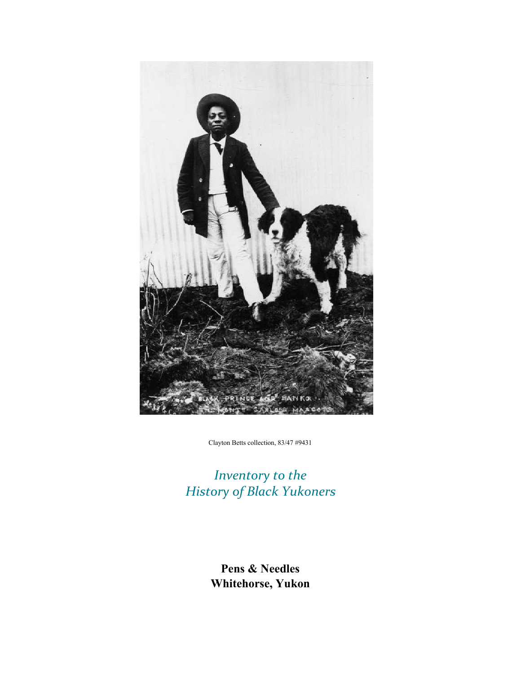

Clayton Betts collection, 83/47 #9431

*Inventory to the History of Black Yukoners*

> **Pens & Needles Whitehorse, Yukon**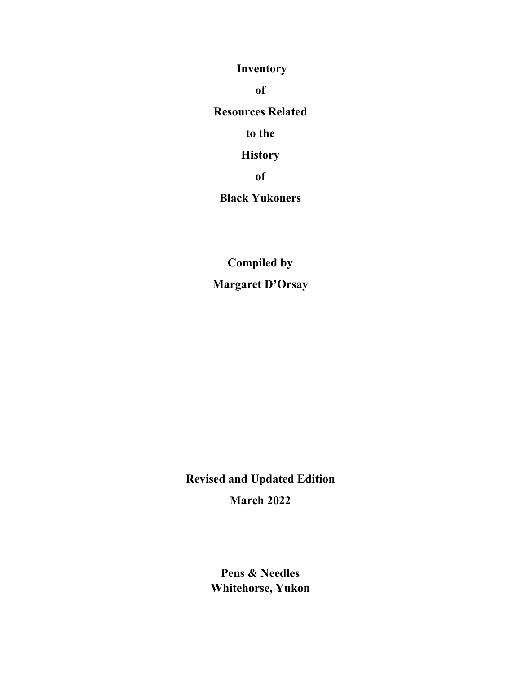**Inventory**

**of**

**Resources Related** 

**to the**

**History**

**of**

**Black Yukoners**

**Compiled by Margaret D'Orsay**

**Revised and Updated Edition March 2022**

> **Pens & Needles Whitehorse, Yukon**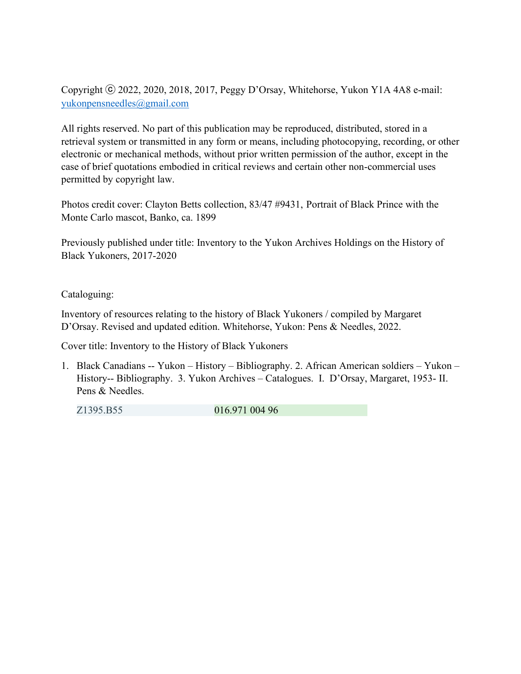Copyright ⓒ 2022, 2020, 2018, 2017, Peggy D'Orsay, Whitehorse, Yukon Y1A 4A8 e-mail: [yukonpensneedles@gmail.com](mailto:yukonpensneedles@gmail.com)

All rights reserved. No part of this publication may be reproduced, distributed, stored in a retrieval system or transmitted in any form or means, including photocopying, recording, or other electronic or mechanical methods, without prior written permission of the author, except in the case of brief quotations embodied in critical reviews and certain other non-commercial uses permitted by copyright law.

Photos credit cover: Clayton Betts collection, 83/47 #9431, Portrait of Black Prince with the Monte Carlo mascot, Banko, ca. 1899

Previously published under title: Inventory to the Yukon Archives Holdings on the History of Black Yukoners, 2017-2020

Cataloguing:

Inventory of resources relating to the history of Black Yukoners / compiled by Margaret D'Orsay. Revised and updated edition. Whitehorse, Yukon: Pens & Needles, 2022.

Cover title: Inventory to the History of Black Yukoners

1. Black Canadians -- Yukon – History – Bibliography. 2. African American soldiers – Yukon – History-- Bibliography. 3. Yukon Archives – Catalogues. I. D'Orsay, Margaret, 1953- II. Pens & Needles.

Z1395.B55 016.971 004 96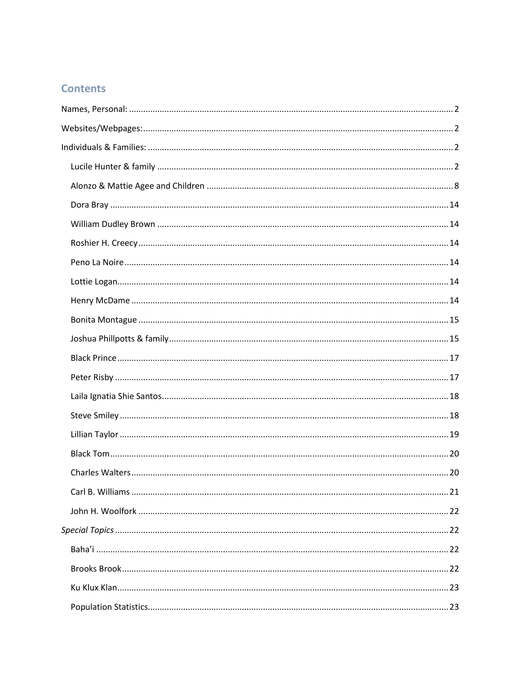## **Contents**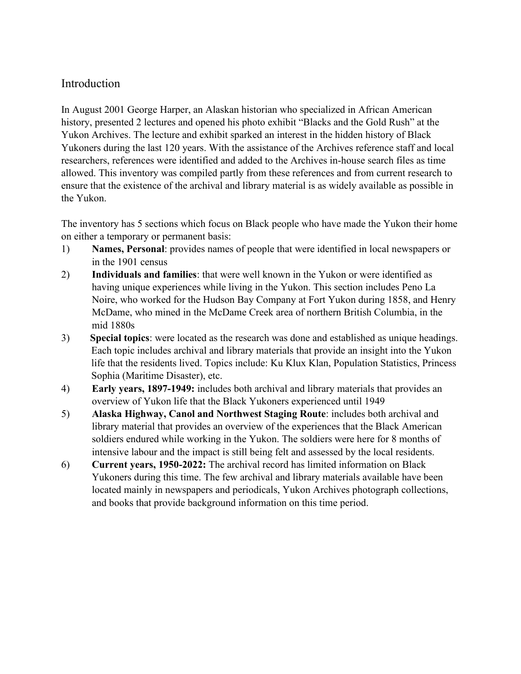## Introduction

In August 2001 George Harper, an Alaskan historian who specialized in African American history, presented 2 lectures and opened his photo exhibit "Blacks and the Gold Rush" at the Yukon Archives. The lecture and exhibit sparked an interest in the hidden history of Black Yukoners during the last 120 years. With the assistance of the Archives reference staff and local researchers, references were identified and added to the Archives in-house search files as time allowed. This inventory was compiled partly from these references and from current research to ensure that the existence of the archival and library material is as widely available as possible in the Yukon.

The inventory has 5 sections which focus on Black people who have made the Yukon their home on either a temporary or permanent basis:

- 1) **Names, Personal**: provides names of people that were identified in local newspapers or in the 1901 census
- 2) **Individuals and families**: that were well known in the Yukon or were identified as having unique experiences while living in the Yukon. This section includes Peno La Noire, who worked for the Hudson Bay Company at Fort Yukon during 1858, and Henry McDame, who mined in the McDame Creek area of northern British Columbia, in the mid 1880s
- 3) **Special topics**: were located as the research was done and established as unique headings. Each topic includes archival and library materials that provide an insight into the Yukon life that the residents lived. Topics include: Ku Klux Klan, Population Statistics, Princess Sophia (Maritime Disaster), etc.
- 4) **Early years, 1897-1949:** includes both archival and library materials that provides an overview of Yukon life that the Black Yukoners experienced until 1949
- 5) **Alaska Highway, Canol and Northwest Staging Route**: includes both archival and library material that provides an overview of the experiences that the Black American soldiers endured while working in the Yukon. The soldiers were here for 8 months of intensive labour and the impact is still being felt and assessed by the local residents.
- 6) **Current years, 1950-2022:** The archival record has limited information on Black Yukoners during this time. The few archival and library materials available have been located mainly in newspapers and periodicals, Yukon Archives photograph collections, and books that provide background information on this time period.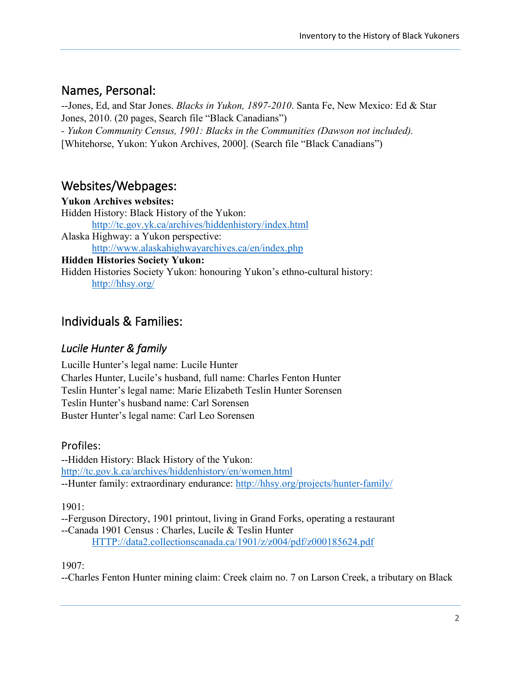# <span id="page-8-0"></span>Names, Personal:

--Jones, Ed, and Star Jones. *Blacks in Yukon, 1897-2010*. Santa Fe, New Mexico: Ed & Star Jones, 2010. (20 pages, Search file "Black Canadians") *- Yukon Community Census, 1901: Blacks in the Communities (Dawson not included).* [Whitehorse, Yukon: Yukon Archives, 2000]. (Search file "Black Canadians")

# <span id="page-8-1"></span>Websites/Webpages:

**Yukon Archives websites:** Hidden History: Black History of the Yukon: <http://tc.gov.yk.ca/archives/hiddenhistory/index.html> Alaska Highway: a Yukon perspective: <http://www.alaskahighwayarchives.ca/en/index.php> **Hidden Histories Society Yukon:** Hidden Histories Society Yukon: honouring Yukon's ethno-cultural history: <http://hhsy.org/>

# <span id="page-8-2"></span>Individuals & Families:

## <span id="page-8-3"></span>*Lucile Hunter & family*

Lucille Hunter's legal name: Lucile Hunter Charles Hunter, Lucile's husband, full name: Charles Fenton Hunter Teslin Hunter's legal name: Marie Elizabeth Teslin Hunter Sorensen Teslin Hunter's husband name: Carl Sorensen Buster Hunter's legal name: Carl Leo Sorensen

## Profiles:

--Hidden History: Black History of the Yukon: <http://tc.gov.k.ca/archives/hiddenhistory/en/women.html> --Hunter family: extraordinary endurance:<http://hhsy.org/projects/hunter-family/>

1901:

--Ferguson Directory, 1901 printout, living in Grand Forks, operating a restaurant --Canada 1901 Census : Charles, Lucile & Teslin Hunter [HTTP://data2.collectionscanada.ca/1901/z/z004/pdf/z000185624.pdf](http://data2.collectionscanada.ca/1901/z/z004/pdf/z000185624.pdf)

1907:

--Charles Fenton Hunter mining claim: Creek claim no. 7 on Larson Creek, a tributary on Black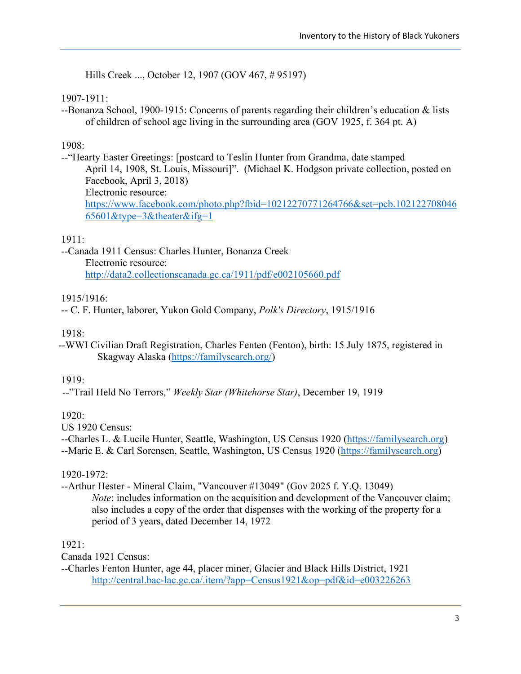Hills Creek ..., October 12, 1907 (GOV 467, # 95197)

#### 1907-1911:

--Bonanza School, 1900-1915: Concerns of parents regarding their children's education & lists of children of school age living in the surrounding area (GOV 1925, f. 364 pt. A)

### 1908:

--"Hearty Easter Greetings: [postcard to Teslin Hunter from Grandma, date stamped April 14, 1908, St. Louis, Missouri]". (Michael K. Hodgson private collection, posted on Facebook, April 3, 2018) Electronic resource: [https://www.facebook.com/photo.php?fbid=10212270771264766&set=pcb.102122708046](https://www.facebook.com/photo.php?fbid=10212270771264766&set=pcb.10212270804665601&type=3&theater&ifg=1) [65601&type=3&theater&ifg=1](https://www.facebook.com/photo.php?fbid=10212270771264766&set=pcb.10212270804665601&type=3&theater&ifg=1)

### 1911:

--Canada 1911 Census: Charles Hunter, Bonanza Creek Electronic resource: <http://data2.collectionscanada.gc.ca/1911/pdf/e002105660.pdf>

### 1915/1916:

-- C. F. Hunter, laborer, Yukon Gold Company, *Polk's Directory*, 1915/1916

### 1918:

--WWI Civilian Draft Registration, Charles Fenten (Fenton), birth: 15 July 1875, registered in Skagway Alaska [\(https://familysearch.org/\)](https://familysearch.org/)

#### 1919:

--"Trail Held No Terrors," *Weekly Star (Whitehorse Star)*, December 19, 1919

### 1920:

US 1920 Census:

--Charles L. & Lucile Hunter, Seattle, Washington, US Census 1920 [\(https://familysearch.org\)](https://familysearch.org/) --Marie E. & Carl Sorensen, Seattle, Washington, US Census 1920 [\(https://familysearch.org\)](https://familysearch.org/)

### 1920-1972:

--Arthur Hester - Mineral Claim, "Vancouver #13049" (Gov 2025 f. Y.Q. 13049) *Note*: includes information on the acquisition and development of the Vancouver claim; also includes a copy of the order that dispenses with the working of the property for a period of 3 years, dated December 14, 1972

1921:

Canada 1921 Census:

--Charles Fenton Hunter, age 44, placer miner, Glacier and Black Hills District, 1921 <http://central.bac-lac.gc.ca/.item/?app=Census1921&op=pdf&id=e003226263>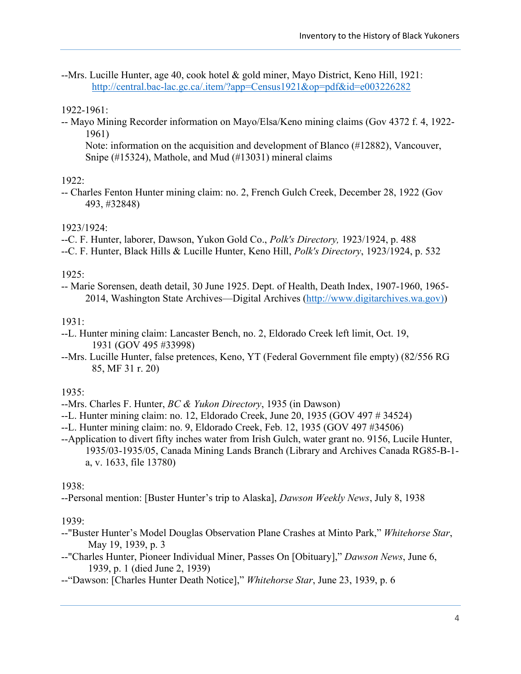--Mrs. Lucille Hunter, age 40, cook hotel & gold miner, Mayo District, Keno Hill, 1921: <http://central.bac-lac.gc.ca/.item/?app=Census1921&op=pdf&id=e003226282>

#### 1922-1961:

-- Mayo Mining Recorder information on Mayo/Elsa/Keno mining claims (Gov 4372 f. 4, 1922- 1961)

Note: information on the acquisition and development of Blanco (#12882), Vancouver, Snipe (#15324), Mathole, and Mud (#13031) mineral claims

#### 1922:

-- Charles Fenton Hunter mining claim: no. 2, French Gulch Creek, December 28, 1922 (Gov 493, #32848)

#### 1923/1924:

- --C. F. Hunter, laborer, Dawson, Yukon Gold Co., *Polk's Directory,* 1923/1924, p. 488
- --C. F. Hunter, Black Hills & Lucille Hunter, Keno Hill, *Polk's Directory*, 1923/1924, p. 532

#### 1925:

-- Marie Sorensen, death detail, 30 June 1925. Dept. of Health, Death Index, 1907-1960, 1965- 2014, Washington State Archives—Digital Archives [\(http://www.digitarchives.wa.gov\)\)](http://www.digitarchives.wa.gov)/)

#### 1931:

- --L. Hunter mining claim: Lancaster Bench, no. 2, Eldorado Creek left limit, Oct. 19, 1931 (GOV 495 #33998)
- --Mrs. Lucille Hunter, false pretences, Keno, YT (Federal Government file empty) (82/556 RG 85, MF 31 r. 20)

### 1935:

- --Mrs. Charles F. Hunter, *BC & Yukon Directory*, 1935 (in Dawson)
- --L. Hunter mining claim: no. 12, Eldorado Creek, June 20, 1935 (GOV 497 # 34524)
- --L. Hunter mining claim: no. 9, Eldorado Creek, Feb. 12, 1935 (GOV 497 #34506)
- --Application to divert fifty inches water from Irish Gulch, water grant no. 9156, Lucile Hunter, 1935/03-1935/05, Canada Mining Lands Branch (Library and Archives Canada RG85-B-1 a, v. 1633, file 13780)

#### 1938:

--Personal mention: [Buster Hunter's trip to Alaska], *Dawson Weekly News*, July 8, 1938

#### 1939:

- --"Buster Hunter's Model Douglas Observation Plane Crashes at Minto Park," *Whitehorse Star*, May 19, 1939, p. 3
- --"Charles Hunter, Pioneer Individual Miner, Passes On [Obituary]," *Dawson News*, June 6, 1939, p. 1 (died June 2, 1939)
- --"Dawson: [Charles Hunter Death Notice]," *Whitehorse Star*, June 23, 1939, p. 6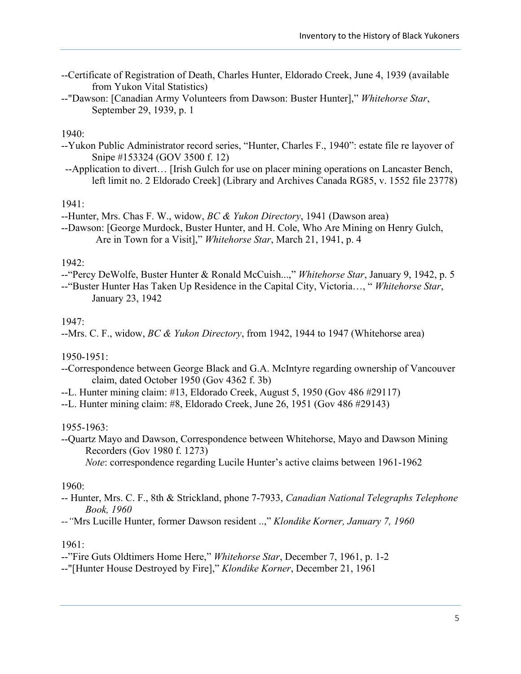- --Certificate of Registration of Death, Charles Hunter, Eldorado Creek, June 4, 1939 (available from Yukon Vital Statistics)
- --"Dawson: [Canadian Army Volunteers from Dawson: Buster Hunter]," *Whitehorse Star*, September 29, 1939, p. 1

#### 1940:

- --Yukon Public Administrator record series, "Hunter, Charles F., 1940": estate file re layover of Snipe #153324 (GOV 3500 f. 12)
- --Application to divert… [Irish Gulch for use on placer mining operations on Lancaster Bench, left limit no. 2 Eldorado Creek] (Library and Archives Canada RG85, v. 1552 file 23778)

#### 1941:

--Hunter, Mrs. Chas F. W., widow, *BC & Yukon Directory*, 1941 (Dawson area)

--Dawson: [George Murdock, Buster Hunter, and H. Cole, Who Are Mining on Henry Gulch, Are in Town for a Visit]," *Whitehorse Star*, March 21, 1941, p. 4

#### 1942:

--"Percy DeWolfe, Buster Hunter & Ronald McCuish...," *Whitehorse Star*, January 9, 1942, p. 5

--"Buster Hunter Has Taken Up Residence in the Capital City, Victoria…, " *Whitehorse Star*, January 23, 1942

#### 1947:

--Mrs. C. F., widow, *BC & Yukon Directory*, from 1942, 1944 to 1947 (Whitehorse area)

#### 1950-1951:

- --Correspondence between George Black and G.A. McIntyre regarding ownership of Vancouver claim, dated October 1950 (Gov 4362 f. 3b)
- --L. Hunter mining claim: #13, Eldorado Creek, August 5, 1950 (Gov 486 #29117)
- --L. Hunter mining claim: #8, Eldorado Creek, June 26, 1951 (Gov 486 #29143)

#### 1955-1963:

--Quartz Mayo and Dawson, Correspondence between Whitehorse, Mayo and Dawson Mining Recorders (Gov 1980 f. 1273)

*Note*: correspondence regarding Lucile Hunter's active claims between 1961-1962

#### 1960:

-- Hunter, Mrs. C. F., 8th & Strickland, phone 7-7933, *Canadian National Telegraphs Telephone Book, 1960*

*--"*Mrs Lucille Hunter, former Dawson resident ..," *Klondike Korner, January 7, 1960*

#### 1961:

--"Fire Guts Oldtimers Home Here," *Whitehorse Star*, December 7, 1961, p. 1-2

--"[Hunter House Destroyed by Fire]," *Klondike Korner*, December 21, 1961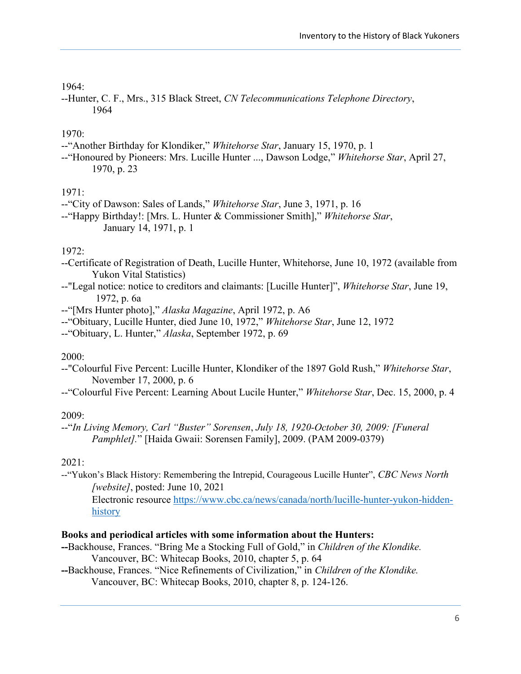#### 1964:

--Hunter, C. F., Mrs., 315 Black Street, *CN Telecommunications Telephone Directory*, 1964

#### 1970:

- --"Another Birthday for Klondiker," *Whitehorse Star*, January 15, 1970, p. 1
- --"Honoured by Pioneers: Mrs. Lucille Hunter ..., Dawson Lodge," *Whitehorse Star*, April 27, 1970, p. 23

#### 1971:

- --"City of Dawson: Sales of Lands," *Whitehorse Star*, June 3, 1971, p. 16
- --"Happy Birthday!: [Mrs. L. Hunter & Commissioner Smith]," *Whitehorse Star*, January 14, 1971, p. 1

#### 1972:

- --Certificate of Registration of Death, Lucille Hunter, Whitehorse, June 10, 1972 (available from Yukon Vital Statistics)
- --"Legal notice: notice to creditors and claimants: [Lucille Hunter]", *Whitehorse Star*, June 19, 1972, p. 6a
- --"[Mrs Hunter photo]," *Alaska Magazine*, April 1972, p. A6
- --"Obituary, Lucille Hunter, died June 10, 1972," *Whitehorse Star*, June 12, 1972
- --"Obituary, L. Hunter," *Alaska*, September 1972, p. 69

#### 2000:

- --"Colourful Five Percent: Lucille Hunter, Klondiker of the 1897 Gold Rush," *Whitehorse Star*, November 17, 2000, p. 6
- --"Colourful Five Percent: Learning About Lucile Hunter," *Whitehorse Star*, Dec. 15, 2000, p. 4

#### 2009:

--"*In Living Memory, Carl "Buster" Sorensen*, *July 18, 1920-October 30, 2009: [Funeral Pamphlet].*" [Haida Gwaii: Sorensen Family], 2009. (PAM 2009-0379)

#### 2021:

--"Yukon's Black History: Remembering the Intrepid, Courageous Lucille Hunter", *CBC News North [website]*, posted: June 10, 2021

Electronic resource [https://www.cbc.ca/news/canada/north/lucille-hunter-yukon-hidden](https://www.cbc.ca/news/canada/north/lucille-hunter-yukon-hidden-history)[history](https://www.cbc.ca/news/canada/north/lucille-hunter-yukon-hidden-history)

#### **Books and periodical articles with some information about the Hunters:**

- **--**Backhouse, Frances. "Bring Me a Stocking Full of Gold," in *Children of the Klondike.*  Vancouver, BC: Whitecap Books, 2010, chapter 5, p. 64
- **--**Backhouse, Frances. "Nice Refinements of Civilization," in *Children of the Klondike.*  Vancouver, BC: Whitecap Books, 2010, chapter 8, p. 124-126.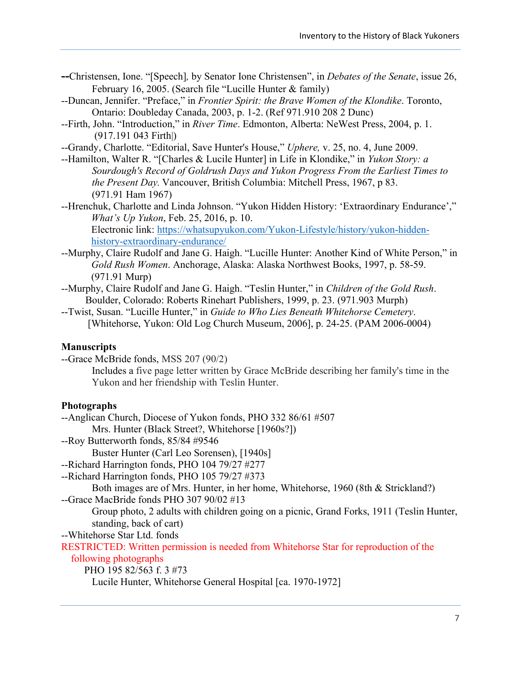- **--**Christensen, Ione. "[Speech]*,* by Senator Ione Christensen", in *Debates of the Senate*, issue 26, February 16, 2005. (Search file "Lucille Hunter & family)
- --Duncan, Jennifer. "Preface," in *Frontier Spirit: the Brave Women of the Klondike*. Toronto, Ontario: Doubleday Canada, 2003, p. 1-2. (Ref 971.910 208 2 Dunc)
- --Firth, John. "Introduction," in *River Time*. Edmonton, Alberta: NeWest Press, 2004, p. 1. (917.191 043 Firth|)
- --Grandy, Charlotte. "Editorial, Save Hunter's House," *Uphere,* v. 25, no. 4, June 2009.
- --Hamilton, Walter R. "[Charles & Lucile Hunter] in Life in Klondike," in *Yukon Story: a Sourdough's Record of Goldrush Days and Yukon Progress From the Earliest Times to the Present Day.* Vancouver, British Columbia: Mitchell Press, 1967, p 83. (971.91 Ham 1967)
- --Hrenchuk, Charlotte and Linda Johnson. "Yukon Hidden History: 'Extraordinary Endurance'," *What's Up Yukon*, Feb. 25, 2016, p. 10. Electronic link: [https://whatsupyukon.com/Yukon-Lifestyle/history/yukon-hidden](https://whatsupyukon.com/Yukon-Lifestyle/history/yukon-hidden-history-extraordinary-endurance/)[history-extraordinary-endurance/](https://whatsupyukon.com/Yukon-Lifestyle/history/yukon-hidden-history-extraordinary-endurance/)
- --Murphy, Claire Rudolf and Jane G. Haigh. "Lucille Hunter: Another Kind of White Person," in *Gold Rush Women*. Anchorage, Alaska: Alaska Northwest Books, 1997, p. 58-59. (971.91 Murp)
- --Murphy, Claire Rudolf and Jane G. Haigh. "Teslin Hunter," in *Children of the Gold Rush*. Boulder, Colorado: Roberts Rinehart Publishers, 1999, p. 23. (971.903 Murph)
- --Twist, Susan. "Lucille Hunter," in *Guide to Who Lies Beneath Whitehorse Cemetery*. [Whitehorse, Yukon: Old Log Church Museum, 2006], p. 24-25. (PAM 2006-0004)

#### **Manuscripts**

--Grace McBride fonds, MSS 207 (90/2)

Includes a five page letter written by Grace McBride describing her family's time in the Yukon and her friendship with Teslin Hunter.

#### **Photographs**

--Anglican Church, Diocese of Yukon fonds, PHO 332 86/61 #507

Mrs. Hunter (Black Street?, Whitehorse [1960s?])

--Roy Butterworth fonds, 85/84 #9546

Buster Hunter (Carl Leo Sorensen), [1940s]

- --Richard Harrington fonds, PHO 104 79/27 #277
- --Richard Harrington fonds, PHO 105 79/27 #373

Both images are of Mrs. Hunter, in her home, Whitehorse, 1960 (8th & Strickland?) --Grace MacBride fonds PHO 307 90/02 #13

Group photo, 2 adults with children going on a picnic, Grand Forks, 1911 (Teslin Hunter, standing, back of cart)

--Whitehorse Star Ltd. fonds

RESTRICTED: Written permission is needed from Whitehorse Star for reproduction of the following photographs

PHO 195 82/563 f. 3 #73

Lucile Hunter, Whitehorse General Hospital [ca. 1970-1972]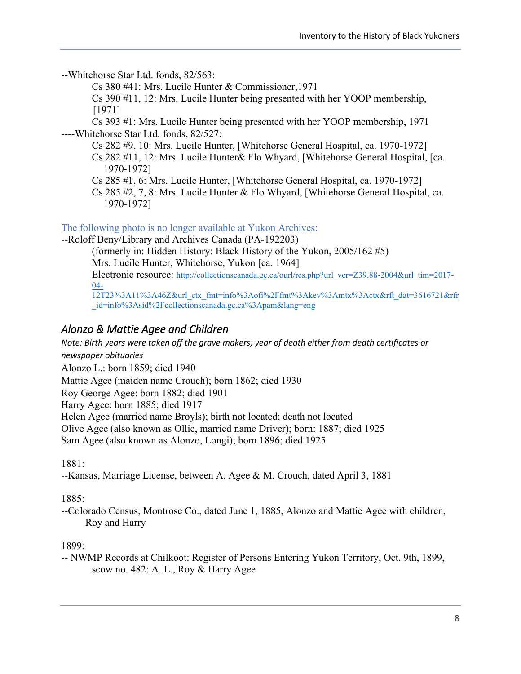--Whitehorse Star Ltd. fonds, 82/563:

Cs 380 #41: Mrs. Lucile Hunter & Commissioner,1971

Cs 390 #11, 12: Mrs. Lucile Hunter being presented with her YOOP membership, [1971]

Cs 393 #1: Mrs. Lucile Hunter being presented with her YOOP membership, 1971 ----Whitehorse Star Ltd. fonds, 82/527:

Cs 282 #9, 10: Mrs. Lucile Hunter, [Whitehorse General Hospital, ca. 1970-1972]

Cs 282 #11, 12: Mrs. Lucile Hunter& Flo Whyard, [Whitehorse General Hospital, [ca. 1970-1972]

Cs 285 #1, 6: Mrs. Lucile Hunter, [Whitehorse General Hospital, ca. 1970-1972]

Cs 285 #2, 7, 8: Mrs. Lucile Hunter & Flo Whyard, [Whitehorse General Hospital, ca. 1970-1972]

The following photo is no longer available at Yukon Archives:

--Roloff Beny/Library and Archives Canada (PA-192203)

(formerly in: Hidden History: Black History of the Yukon, 2005/162 #5) Mrs. Lucile Hunter, Whitehorse, Yukon [ca. 1964]

Electronic resource: [http://collectionscanada.gc.ca/ourl/res.php?url\\_ver=Z39.88-2004&url\\_tim=2017-](http://collectionscanada.gc.ca/ourl/res.php?url_ver=Z39.88-2004&url_tim=2017-04-12T23%3A11%3A46Z&url_ctx_fmt=info%3Aofi%2Ffmt%3Akev%3Amtx%3Actx&rft_dat=3616721&rfr_id=info%3Asid%2Fcollectionscanada.gc.ca%3Apam&lang=eng) [04-](http://collectionscanada.gc.ca/ourl/res.php?url_ver=Z39.88-2004&url_tim=2017-04-12T23%3A11%3A46Z&url_ctx_fmt=info%3Aofi%2Ffmt%3Akev%3Amtx%3Actx&rft_dat=3616721&rfr_id=info%3Asid%2Fcollectionscanada.gc.ca%3Apam&lang=eng)

[12T23%3A11%3A46Z&url\\_ctx\\_fmt=info%3Aofi%2Ffmt%3Akev%3Amtx%3Actx&rft\\_dat=3616721&rfr](http://collectionscanada.gc.ca/ourl/res.php?url_ver=Z39.88-2004&url_tim=2017-04-12T23%3A11%3A46Z&url_ctx_fmt=info%3Aofi%2Ffmt%3Akev%3Amtx%3Actx&rft_dat=3616721&rfr_id=info%3Asid%2Fcollectionscanada.gc.ca%3Apam&lang=eng) id=info%3Asid%2Fcollectionscanada.gc.ca%3Apam&lang=eng

## <span id="page-14-0"></span>*Alonzo & Mattie Agee and Children*

*Note: Birth years were taken off the grave makers; year of death either from death certificates or newspaper obituaries*

Alonzo L.: born 1859; died 1940

Mattie Agee (maiden name Crouch); born 1862; died 1930

Roy George Agee: born 1882; died 1901

Harry Agee: born 1885; died 1917

Helen Agee (married name Broyls); birth not located; death not located

Olive Agee (also known as Ollie, married name Driver); born: 1887; died 1925

Sam Agee (also known as Alonzo, Longi); born 1896; died 1925

1881:

--Kansas, Marriage License, between A. Agee & M. Crouch, dated April 3, 1881

1885:

--Colorado Census, Montrose Co., dated June 1, 1885, Alonzo and Mattie Agee with children, Roy and Harry

1899:

-- NWMP Records at Chilkoot: Register of Persons Entering Yukon Territory, Oct. 9th, 1899, scow no. 482: A. L., Roy & Harry Agee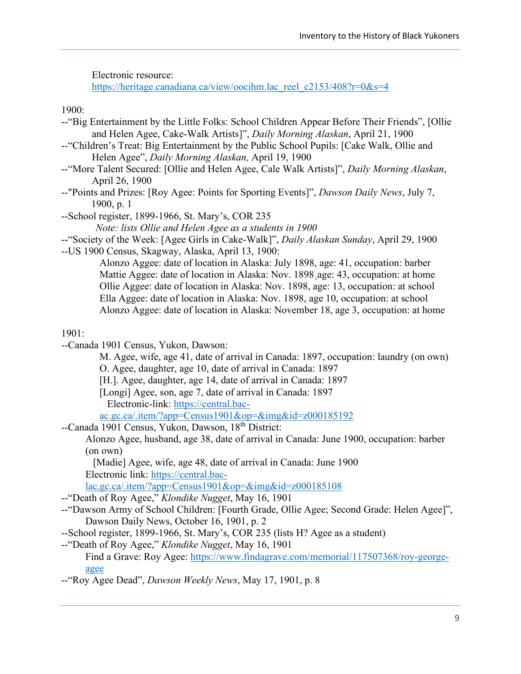Electronic resource:

[https://heritage.canadiana.ca/view/oocihm.lac\\_reel\\_c2153/408?r=0&s=4](https://heritage.canadiana.ca/view/oocihm.lac_reel_c2153/408?r=0&s=4)

1900:

- --"Big Entertainment by the Little Folks: School Children Appear Before Their Friends", [Ollie and Helen Agee, Cake-Walk Artists]", *Daily Morning Alaskan*, April 21, 1900
- --"Children's Treat: Big Entertainment by the Public School Pupils: [Cake Walk, Ollie and Helen Agee", *Daily Morning Alaskan,* April 19, 1900
- --"More Talent Secured: [Ollie and Helen Agee, Cale Walk Artists]", *Daily Morning Alaskan*, April 26, 1900
- --"Points and Prizes: [Roy Agee: Points for Sporting Events]", *Dawson Daily News*, July 7, 1900, p. 1
- --School register, 1899-1966, St. Mary's, COR 235
	- *Note: lists Ollie and Helen Agee as a students in 1900*
- --"Society of the Week: [Agee Girls in Cake-Walk]", *Daily Alaskan Sunday*, April 29, 1900
- --US 1900 Census, Skagway, Alaska, April 13, 1900:

Alonzo Aggee: date of location in Alaska: July 1898, age: 41, occupation: barber Mattie Aggee: date of location in Alaska: Nov. 1898¸age: 43, occupation: at home Ollie Aggee: date of location in Alaska: Nov. 1898, age: 13, occupation: at school Ella Aggee: date of location in Alaska: Nov. 1898, age 10, occupation: at school Alonzo Aggee: date of location in Alaska: November 18, age 3, occupation: at home

1901:

--Canada 1901 Census, Yukon, Dawson:

M. Agee, wife, age 41, date of arrival in Canada: 1897, occupation: laundry (on own) O. Agee, daughter, age 10, date of arrival in Canada: 1897

[H.]. Agee, daughter, age 14, date of arrival in Canada: 1897

[Longi] Agee, son, age 7, date of arrival in Canada: 1897 Electronic-link: [https://central.bac-](https://central.bac-ac.gc.ca/.item/?app=Census1901&op=&img&id=z000185192)

[ac.gc.ca/.item/?app=Census1901&op=&img&id=z000185192](https://central.bac-ac.gc.ca/.item/?app=Census1901&op=&img&id=z000185192)

--Canada 1901 Census, Yukon, Dawson, 18<sup>th</sup> District:

Alonzo Agee, husband, age 38, date of arrival in Canada: June 1900, occupation: barber (on own)

[Madie] Agee, wife, age 48, date of arrival in Canada: June 1900 Electronic link: [https://central.bac-](https://central.bac-lac.gc.ca/.item/?app=Census1901&op=&img&id=z000185108)

[lac.gc.ca/.item/?app=Census1901&op=&img&id=z000185108](https://central.bac-lac.gc.ca/.item/?app=Census1901&op=&img&id=z000185108)

- --"Death of Roy Agee," *Klondike Nugget*, May 16, 1901
- --"Dawson Army of School Children: [Fourth Grade, Ollie Agee; Second Grade: Helen Agee]", Dawson Daily News, October 16, 1901, p. 2
- --School register, 1899-1966, St. Mary's, COR 235 (lists H? Agee as a student)
- --"Death of Roy Agee," *Klondike Nugget*, May 16, 1901 Find a Grave: Roy Agee: [https://www.findagrave.com/memorial/117507368/roy-george](https://www.findagrave.com/memorial/117507368/roy-george-agee)[agee](https://www.findagrave.com/memorial/117507368/roy-george-agee)
- --"Roy Agee Dead", *Dawson Weekly News*, May 17, 1901, p. 8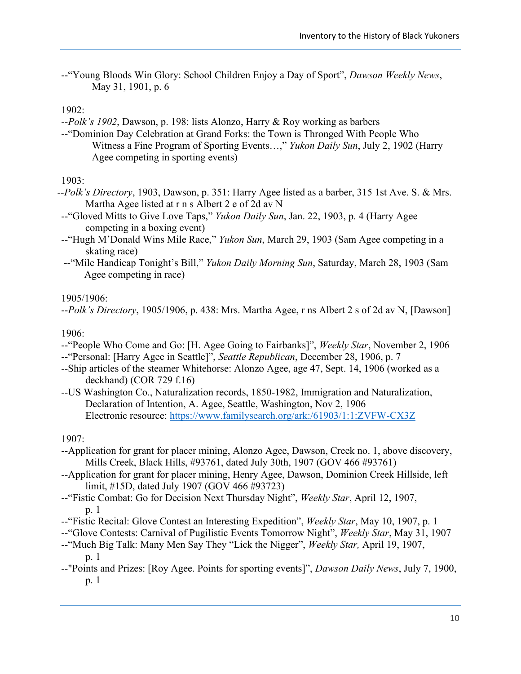--"Young Bloods Win Glory: School Children Enjoy a Day of Sport", *Dawson Weekly News*, May 31, 1901, p. 6

1902:

*--Polk's 1902*, Dawson, p. 198: lists Alonzo, Harry & Roy working as barbers

--"Dominion Day Celebration at Grand Forks: the Town is Thronged With People Who Witness a Fine Program of Sporting Events…," *Yukon Daily Sun*, July 2, 1902 (Harry Agee competing in sporting events)

1903:

- --*Polk's Directory*, 1903, Dawson, p. 351: Harry Agee listed as a barber, 315 1st Ave. S. & Mrs. Martha Agee listed at r n s Albert 2 e of 2d av N
- --"Gloved Mitts to Give Love Taps," *Yukon Daily Sun*, Jan. 22, 1903, p. 4 (Harry Agee competing in a boxing event)
- --"Hugh M'Donald Wins Mile Race," *Yukon Sun*, March 29, 1903 (Sam Agee competing in a skating race)
- --"Mile Handicap Tonight's Bill," *Yukon Daily Morning Sun*, Saturday, March 28, 1903 (Sam Agee competing in race)

1905/1906:

--*Polk's Directory*, 1905/1906, p. 438: Mrs. Martha Agee, r ns Albert 2 s of 2d av N, [Dawson]

1906:

- --"People Who Come and Go: [H. Agee Going to Fairbanks]", *Weekly Star*, November 2, 1906
- --"Personal: [Harry Agee in Seattle]", *Seattle Republican*, December 28, 1906, p. 7
- --Ship articles of the steamer Whitehorse: Alonzo Agee, age 47, Sept. 14, 1906 (worked as a deckhand) (COR 729 f.16)
- --US Washington Co., Naturalization records, 1850-1982, Immigration and Naturalization, Declaration of Intention, A. Agee, Seattle, Washington, Nov 2, 1906 Electronic resource:<https://www.familysearch.org/ark:/61903/1:1:ZVFW-CX3Z>

1907:

- --Application for grant for placer mining, Alonzo Agee, Dawson, Creek no. 1, above discovery, Mills Creek, Black Hills, #93761, dated July 30th, 1907 (GOV 466 #93761)
- --Application for grant for placer mining, Henry Agee, Dawson, Dominion Creek Hillside, left limit, #15D, dated July 1907 (GOV 466 #93723)
- --"Fistic Combat: Go for Decision Next Thursday Night", *Weekly Star*, April 12, 1907, p. 1
- --"Fistic Recital: Glove Contest an Interesting Expedition", *Weekly Star*, May 10, 1907, p. 1
- --"Glove Contests: Carnival of Pugilistic Events Tomorrow Night", *Weekly Star*, May 31, 1907
- --"Much Big Talk: Many Men Say They "Lick the Nigger", *Weekly Star,* April 19, 1907, p. 1
- --"Points and Prizes: [Roy Agee. Points for sporting events]", *Dawson Daily News*, July 7, 1900, p. 1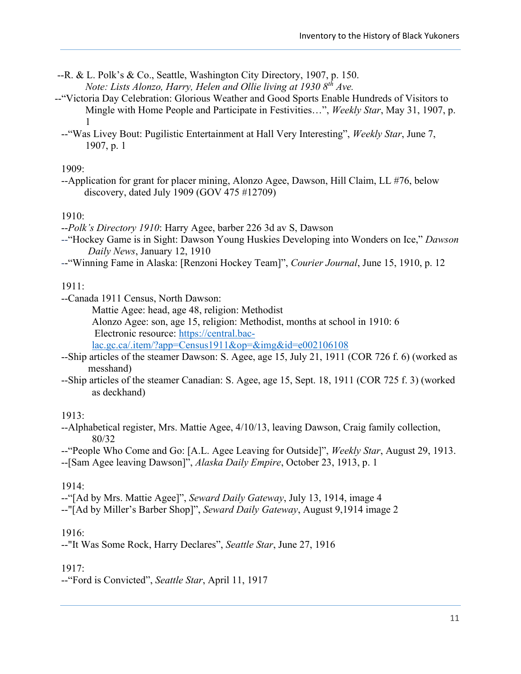- --R. & L. Polk's & Co., Seattle, Washington City Directory, 1907, p. 150. *Note: Lists Alonzo, Harry, Helen and Ollie living at 1930 8th Ave.*
- --"Victoria Day Celebration: Glorious Weather and Good Sports Enable Hundreds of Visitors to Mingle with Home People and Participate in Festivities…", *Weekly Star*, May 31, 1907, p. 1
	- --"Was Livey Bout: Pugilistic Entertainment at Hall Very Interesting", *Weekly Star*, June 7, 1907, p. 1

#### 1909:

--Application for grant for placer mining, Alonzo Agee, Dawson, Hill Claim, LL #76, below discovery, dated July 1909 (GOV 475 #12709)

#### 1910:

--*Polk's Directory 1910*: Harry Agee, barber 226 3d av S, Dawson

- --"Hockey Game is in Sight: Dawson Young Huskies Developing into Wonders on Ice," *Dawson Daily News*, January 12, 1910
- --"Winning Fame in Alaska: [Renzoni Hockey Team]", *Courier Journal*, June 15, 1910, p. 12

1911:

--Canada 1911 Census, North Dawson:

Mattie Agee: head, age 48, religion: Methodist

Alonzo Agee: son, age 15, religion: Methodist, months at school in 1910: 6 Electronic resource: [https://central.bac-](https://central.bac-lac.gc.ca/.item/?app=Census1911&op=&img&id=e002106108)

[lac.gc.ca/.item/?app=Census1911&op=&img&id=e002106108](https://central.bac-lac.gc.ca/.item/?app=Census1911&op=&img&id=e002106108)

- --Ship articles of the steamer Dawson: S. Agee, age 15, July 21, 1911 (COR 726 f. 6) (worked as messhand)
- --Ship articles of the steamer Canadian: S. Agee, age 15, Sept. 18, 1911 (COR 725 f. 3) (worked as deckhand)

### 1913:

--Alphabetical register, Mrs. Mattie Agee, 4/10/13, leaving Dawson, Craig family collection, 80/32

--"People Who Come and Go: [A.L. Agee Leaving for Outside]", *Weekly Star*, August 29, 1913.

--[Sam Agee leaving Dawson]", *Alaska Daily Empire*, October 23, 1913, p. 1

### 1914:

--"[Ad by Mrs. Mattie Agee]", *Seward Daily Gateway*, July 13, 1914, image 4

--"[Ad by Miller's Barber Shop]", *Seward Daily Gateway*, August 9,1914 image 2

### 1916:

--"It Was Some Rock, Harry Declares", *Seattle Star*, June 27, 1916

#### 1917:

--"Ford is Convicted", *Seattle Star*, April 11, 1917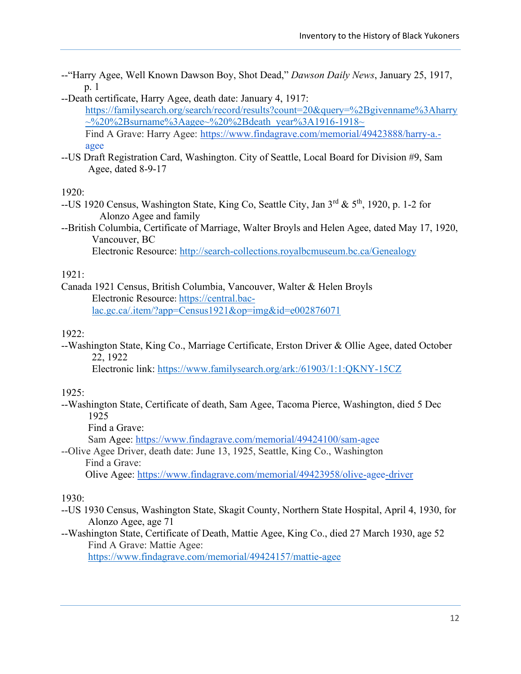- --"Harry Agee, Well Known Dawson Boy, Shot Dead," *Dawson Daily News*, January 25, 1917, p. 1
- --Death certificate, Harry Agee, death date: January 4, 1917:

[https://familysearch.org/search/record/results?count=20&query=%2Bgivenname%3Aharry](https://familysearch.org/search/record/results?count=20&query=%2Bgivenname%3Aharry~%20%2Bsurname%3Aagee~%20%2Bdeath_year%3A1916-1918~)  $\sim\!\!20\%2B\text{surname}\%3A\text{agee}\sim\!\!20\%2B\text{death}\text{year}\%3A1916-1918\sim$ Find A Grave: Harry Agee: [https://www.findagrave.com/memorial/49423888/harry-a.-](https://www.findagrave.com/memorial/49423888/harry-a.-agee)

[agee](https://www.findagrave.com/memorial/49423888/harry-a.-agee)

--US Draft Registration Card, Washington. City of Seattle, Local Board for Division #9, Sam Agee, dated 8-9-17

1920:

- --US 1920 Census, Washington State, King Co, Seattle City, Jan  $3^{rd}$  &  $5^{th}$ , 1920, p. 1-2 for Alonzo Agee and family
- --British Columbia, Certificate of Marriage, Walter Broyls and Helen Agee, dated May 17, 1920, Vancouver, BC

Electronic Resource:<http://search-collections.royalbcmuseum.bc.ca/Genealogy>

#### 1921:

Canada 1921 Census, British Columbia, Vancouver, Walter & Helen Broyls Electronic Resource: [https://central.bac](https://central.bac-lac.gc.ca/.item/?app=Census1921&op=img&id=e002876071)[lac.gc.ca/.item/?app=Census1921&op=img&id=e002876071](https://central.bac-lac.gc.ca/.item/?app=Census1921&op=img&id=e002876071)

#### 1922:

--Washington State, King Co., Marriage Certificate, Erston Driver & Ollie Agee, dated October 22, 1922

Electronic link:<https://www.familysearch.org/ark:/61903/1:1:QKNY-15CZ>

#### 1925:

--Washington State, Certificate of death, Sam Agee, Tacoma Pierce, Washington, died 5 Dec 1925

Find a Grave:

Sam Agee: <https://www.findagrave.com/memorial/49424100/sam-agee>

--Olive Agee Driver, death date: June 13, 1925, Seattle, King Co., Washington Find a Grave:

Olive Agee: <https://www.findagrave.com/memorial/49423958/olive-agee-driver>

#### 1930:

- --US 1930 Census, Washington State, Skagit County, Northern State Hospital, April 4, 1930, for Alonzo Agee, age 71
- --Washington State, Certificate of Death, Mattie Agee, King Co., died 27 March 1930, age 52 Find A Grave: Mattie Agee:

<https://www.findagrave.com/memorial/49424157/mattie-agee>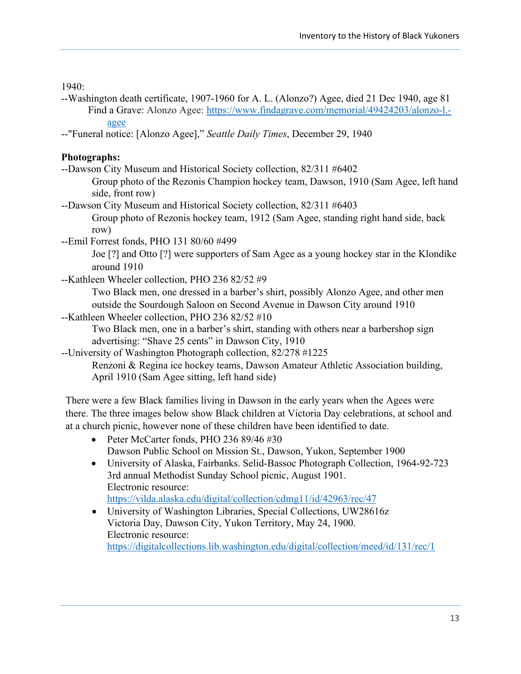1940:

- --Washington death certificate, 1907-1960 for A. L. (Alonzo?) Agee, died 21 Dec 1940, age 81 Find a Grave: Alonzo Agee: [https://www.findagrave.com/memorial/49424203/alonzo-l.](https://www.findagrave.com/memorial/49424203/alonzo-l.-agee) [agee](https://www.findagrave.com/memorial/49424203/alonzo-l.-agee)
- --"Funeral notice: [Alonzo Agee]," *Seattle Daily Times*, December 29, 1940

### **Photographs:**

- --Dawson City Museum and Historical Society collection, 82/311 #6402
	- Group photo of the Rezonis Champion hockey team, Dawson, 1910 (Sam Agee, left hand side, front row)
- --Dawson City Museum and Historical Society collection, 82/311 #6403
	- Group photo of Rezonis hockey team, 1912 (Sam Agee, standing right hand side, back row)
- --Emil Forrest fonds, PHO 131 80/60 #499

Joe [?] and Otto [?] were supporters of Sam Agee as a young hockey star in the Klondike around 1910

--Kathleen Wheeler collection, PHO 236 82/52 #9

Two Black men, one dressed in a barber's shirt, possibly Alonzo Agee, and other men outside the Sourdough Saloon on Second Avenue in Dawson City around 1910

--Kathleen Wheeler collection, PHO 236 82/52 #10

Two Black men, one in a barber's shirt, standing with others near a barbershop sign advertising: "Shave 25 cents" in Dawson City, 1910

--University of Washington Photograph collection, 82/278 #1225

Renzoni & Regina ice hockey teams, Dawson Amateur Athletic Association building, April 1910 (Sam Agee sitting, left hand side)

There were a few Black families living in Dawson in the early years when the Agees were there. The three images below show Black children at Victoria Day celebrations, at school and at a church picnic, however none of these children have been identified to date.

- Peter McCarter fonds, PHO 236 89/46 #30 Dawson Public School on Mission St., Dawson, Yukon, September 1900
- University of Alaska, Fairbanks. Selid-Bassoc Photograph Collection, 1964-92-723 3rd annual Methodist Sunday School picnic, August 1901. Electronic resource:
	- <https://vilda.alaska.edu/digital/collection/cdmg11/id/42963/rec/47>
- University of Washington Libraries, Special Collections, UW28616z Victoria Day, Dawson City, Yukon Territory, May 24, 1900. Electronic resource: <https://digitalcollections.lib.washington.edu/digital/collection/meed/id/131/rec/1>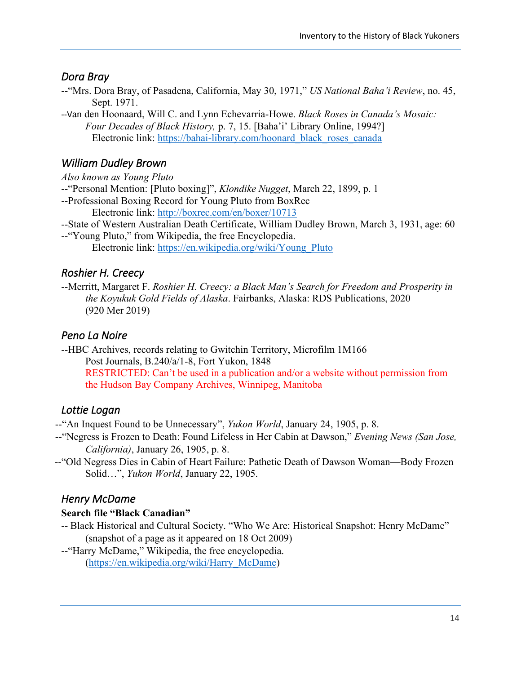## <span id="page-20-0"></span>*Dora Bray*

--"Mrs. Dora Bray, of Pasadena, California, May 30, 1971," *US National Baha'i Review*, no. 45, Sept. 1971.

--Van den Hoonaard, Will C. and Lynn Echevarria-Howe. *Black Roses in Canada's Mosaic: Four Decades of Black History,* p. 7, 15. [Baha'i' Library Online, 1994?] Electronic link: [https://bahai-library.com/hoonard\\_black\\_roses\\_canada](https://bahai-library.com/hoonard_black_roses_canada)

# <span id="page-20-1"></span>*William Dudley Brown*

*Also known as Young Pluto*

--"Personal Mention: [Pluto boxing]", *Klondike Nugget*, March 22, 1899, p. 1

--Professional Boxing Record for Young Pluto from BoxRec Electronic link:<http://boxrec.com/en/boxer/10713>

--State of Western Australian Death Certificate, William Dudley Brown, March 3, 1931, age: 60

--"Young Pluto," from Wikipedia, the free Encyclopedia. Electronic link: [https://en.wikipedia.org/wiki/Young\\_Pluto](https://en.wikipedia.org/wiki/Young_Pluto)

## <span id="page-20-2"></span>*Roshier H. Creecy*

--Merritt, Margaret F. *Roshier H. Creecy: a Black Man's Search for Freedom and Prosperity in the Koyukuk Gold Fields of Alaska*. Fairbanks, Alaska: RDS Publications, 2020 (920 Mer 2019)

## <span id="page-20-3"></span>*Peno La Noire*

--HBC Archives, records relating to Gwitchin Territory, Microfilm 1M166 Post Journals, B.240/a/1-8, Fort Yukon, 1848 RESTRICTED: Can't be used in a publication and/or a website without permission from the Hudson Bay Company Archives, Winnipeg, Manitoba

## <span id="page-20-4"></span>*Lottie Logan*

--"An Inquest Found to be Unnecessary", *Yukon World*, January 24, 1905, p. 8.

- --"Negress is Frozen to Death: Found Lifeless in Her Cabin at Dawson," *Evening News (San Jose, California)*, January 26, 1905, p. 8.
- --"Old Negress Dies in Cabin of Heart Failure: Pathetic Death of Dawson Woman—Body Frozen Solid…", *Yukon World*, January 22, 1905.

## <span id="page-20-5"></span>*Henry McDame*

### **Search file "Black Canadian"**

- -- Black Historical and Cultural Society. "Who We Are: Historical Snapshot: Henry McDame" (snapshot of a page as it appeared on 18 Oct 2009)
- --"Harry McDame," Wikipedia, the free encyclopedia. [\(https://en.wikipedia.org/wiki/Harry\\_McDame\)](https://en.wikipedia.org/wiki/Harry_McDame)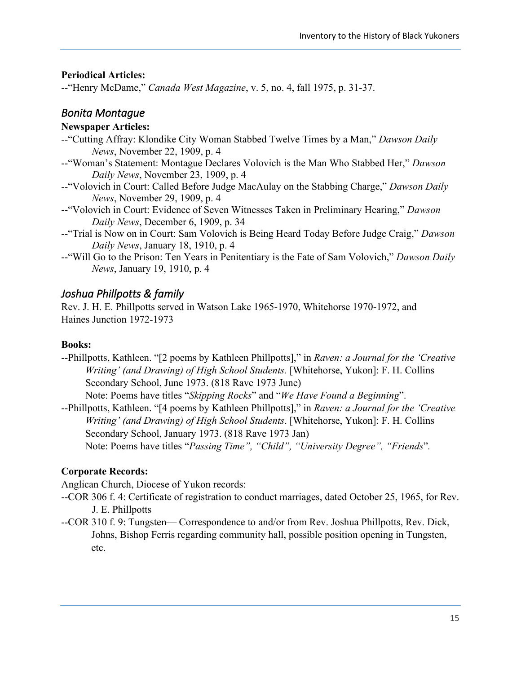### **Periodical Articles:**

--"Henry McDame," *Canada West Magazine*, v. 5, no. 4, fall 1975, p. 31-37.

### <span id="page-21-0"></span>*Bonita Montague*

#### **Newspaper Articles:**

- --"Cutting Affray: Klondike City Woman Stabbed Twelve Times by a Man," *Dawson Daily News*, November 22, 1909, p. 4
- --"Woman's Statement: Montague Declares Volovich is the Man Who Stabbed Her," *Dawson Daily News*, November 23, 1909, p. 4
- --"Volovich in Court: Called Before Judge MacAulay on the Stabbing Charge," *Dawson Daily News*, November 29, 1909, p. 4
- --"Volovich in Court: Evidence of Seven Witnesses Taken in Preliminary Hearing," *Dawson Daily News*, December 6, 1909, p. 34
- --"Trial is Now on in Court: Sam Volovich is Being Heard Today Before Judge Craig," *Dawson Daily News*, January 18, 1910, p. 4
- --"Will Go to the Prison: Ten Years in Penitentiary is the Fate of Sam Volovich," *Dawson Daily News*, January 19, 1910, p. 4

## <span id="page-21-1"></span>*Joshua Phillpotts & family*

Rev. J. H. E. Phillpotts served in Watson Lake 1965-1970, Whitehorse 1970-1972, and Haines Junction 1972-1973

#### **Books:**

- --Phillpotts, Kathleen. "[2 poems by Kathleen Phillpotts]," in *Raven: a Journal for the 'Creative Writing' (and Drawing) of High School Students.* [Whitehorse, Yukon]: F. H. Collins Secondary School, June 1973. (818 Rave 1973 June)
- Note: Poems have titles "*Skipping Rocks*" and "*We Have Found a Beginning*". --Phillpotts, Kathleen. "[4 poems by Kathleen Phillpotts]," in *Raven: a Journal for the 'Creative*

*Writing' (and Drawing) of High School Students*. [Whitehorse, Yukon]: F. H. Collins Secondary School, January 1973. (818 Rave 1973 Jan)

Note: Poems have titles "*Passing Time", "Child", "University Degree", "Friends*"*.*

### **Corporate Records:**

Anglican Church, Diocese of Yukon records:

- --COR 306 f. 4: Certificate of registration to conduct marriages, dated October 25, 1965, for Rev. J. E. Phillpotts
- --COR 310 f. 9: Tungsten— Correspondence to and/or from Rev. Joshua Phillpotts, Rev. Dick, Johns, Bishop Ferris regarding community hall, possible position opening in Tungsten, etc.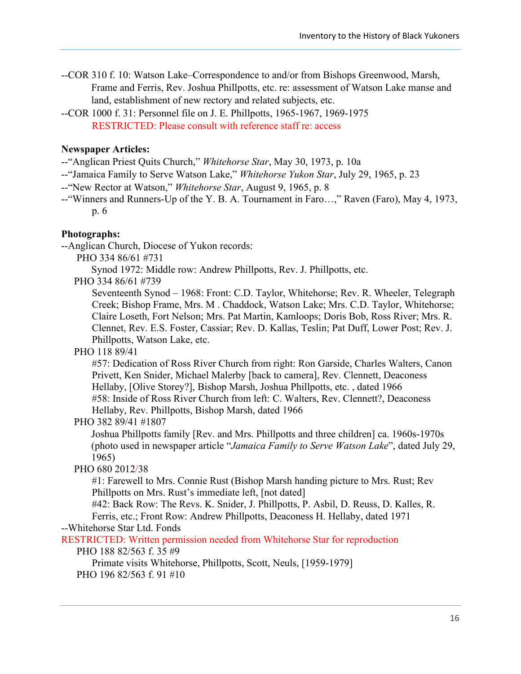- --COR 310 f. 10: Watson Lake–Correspondence to and/or from Bishops Greenwood, Marsh, Frame and Ferris, Rev. Joshua Phillpotts, etc. re: assessment of Watson Lake manse and land, establishment of new rectory and related subjects, etc.
- --COR 1000 f. 31: Personnel file on J. E. Phillpotts, 1965-1967, 1969-1975 RESTRICTED: Please consult with reference staff re: access

#### **Newspaper Articles:**

- --"Anglican Priest Quits Church," *Whitehorse Star*, May 30, 1973, p. 10a
- --"Jamaica Family to Serve Watson Lake," *Whitehorse Yukon Star*, July 29, 1965, p. 23
- --"New Rector at Watson," *Whitehorse Star*, August 9, 1965, p. 8
- --"Winners and Runners-Up of the Y. B. A. Tournament in Faro…," Raven (Faro), May 4, 1973, p. 6

#### **Photographs:**

--Anglican Church, Diocese of Yukon records:

PHO 334 86/61 #731

Synod 1972: Middle row: Andrew Phillpotts, Rev. J. Phillpotts, etc.

PHO 334 86/61 #739

Seventeenth Synod – 1968: Front: C.D. Taylor, Whitehorse; Rev. R. Wheeler, Telegraph Creek; Bishop Frame, Mrs. M . Chaddock, Watson Lake; Mrs. C.D. Taylor, Whitehorse; Claire Loseth, Fort Nelson; Mrs. Pat Martin, Kamloops; Doris Bob, Ross River; Mrs. R. Clennet, Rev. E.S. Foster, Cassiar; Rev. D. Kallas, Teslin; Pat Duff, Lower Post; Rev. J. Phillpotts, Watson Lake, etc.

#### PHO 118 89/41

#57: Dedication of Ross River Church from right: Ron Garside, Charles Walters, Canon Privett, Ken Snider, Michael Malerby [back to camera], Rev. Clennett, Deaconess Hellaby, [Olive Storey?], Bishop Marsh, Joshua Phillpotts, etc. , dated 1966 #58: Inside of Ross River Church from left: C. Walters, Rev. Clennett?, Deaconess Hellaby, Rev. Phillpotts, Bishop Marsh, dated 1966

#### PHO 382 89/41 #1807

Joshua Phillpotts family [Rev. and Mrs. Phillpotts and three children] ca. 1960s-1970s (photo used in newspaper article "*Jamaica Family to Serve Watson Lake*", dated July 29, 1965)

#### PHO 680 2012/38

#1: Farewell to Mrs. Connie Rust (Bishop Marsh handing picture to Mrs. Rust; Rev Phillpotts on Mrs. Rust's immediate left, [not dated]

#42: Back Row: The Revs. K. Snider, J. Phillpotts, P. Asbil, D. Reuss, D. Kalles, R. Ferris, etc.; Front Row: Andrew Phillpotts, Deaconess H. Hellaby, dated 1971

--Whitehorse Star Ltd. Fonds

RESTRICTED: Written permission needed from Whitehorse Star for reproduction

PHO 188 82/563 f. 35 #9

Primate visits Whitehorse, Phillpotts, Scott, Neuls, [1959-1979] PHO 196 82/563 f. 91 #10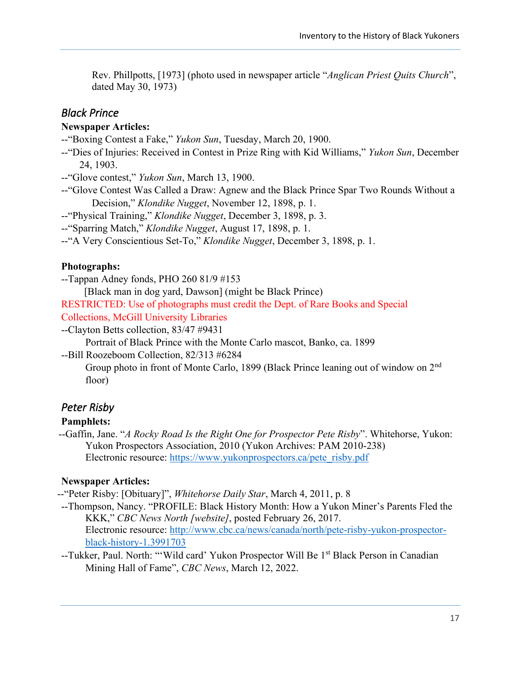Rev. Phillpotts, [1973] (photo used in newspaper article "*Anglican Priest Quits Church*", dated May 30, 1973)

### <span id="page-23-0"></span>*Black Prince*

#### **Newspaper Articles:**

--"Boxing Contest a Fake," *Yukon Sun*, Tuesday, March 20, 1900.

--"Dies of Injuries: Received in Contest in Prize Ring with Kid Williams," *Yukon Sun*, December 24, 1903.

--"Glove contest," *Yukon Sun*, March 13, 1900.

--"Glove Contest Was Called a Draw: Agnew and the Black Prince Spar Two Rounds Without a Decision," *Klondike Nugget*, November 12, 1898, p. 1.

--"Physical Training," *Klondike Nugget*, December 3, 1898, p. 3.

--"Sparring Match," *Klondike Nugget*, August 17, 1898, p. 1.

--"A Very Conscientious Set-To," *Klondike Nugget*, December 3, 1898, p. 1.

#### **Photographs:**

--Tappan Adney fonds, PHO 260 81/9 #153

[Black man in dog yard, Dawson] (might be Black Prince)

RESTRICTED: Use of photographs must credit the Dept. of Rare Books and Special Collections, McGill University Libraries

--Clayton Betts collection, 83/47 #9431

Portrait of Black Prince with the Monte Carlo mascot, Banko, ca. 1899

--Bill Roozeboom Collection, 82/313 #6284

Group photo in front of Monte Carlo, 1899 (Black Prince leaning out of window on 2nd floor)

### <span id="page-23-1"></span>*Peter Risby*

#### **Pamphlets:**

--Gaffin, Jane. "*A Rocky Road Is the Right One for Prospector Pete Risby*". Whitehorse, Yukon: Yukon Prospectors Association, 2010 (Yukon Archives: PAM 2010-238) Electronic resource: [https://www.yukonprospectors.ca/pete\\_risby.pdf](https://www.yukonprospectors.ca/pete_risby.pdf)

#### **Newspaper Articles:**

--"Peter Risby: [Obituary]", *Whitehorse Daily Star*, March 4, 2011, p. 8

- --Thompson, Nancy. "PROFILE: Black History Month: How a Yukon Miner's Parents Fled the KKK," *CBC News North [website]*, posted February 26, 2017. Electronic resource: [http://www.cbc.ca/news/canada/north/pete-risby-yukon-prospector](http://www.cbc.ca/news/canada/north/pete-risby-yukon-prospector-black-history-1.3991703)[black-history-1.3991703](http://www.cbc.ca/news/canada/north/pete-risby-yukon-prospector-black-history-1.3991703)
- --Tukker, Paul. North: "'Wild card' Yukon Prospector Will Be 1st Black Person in Canadian Mining Hall of Fame", *CBC News*, March 12, 2022.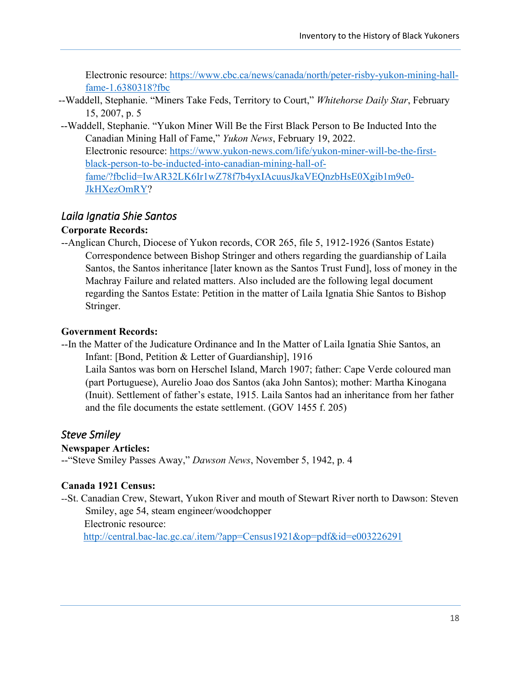Electronic resource: [https://www.cbc.ca/news/canada/north/peter-risby-yukon-mining-hall](https://www.cbc.ca/news/canada/north/peter-risby-yukon-mining-hall-fame-1.6380318?fbc)[fame-1.6380318?fbc](https://www.cbc.ca/news/canada/north/peter-risby-yukon-mining-hall-fame-1.6380318?fbc)

- --Waddell, Stephanie. "Miners Take Feds, Territory to Court," *Whitehorse Daily Star*, February 15, 2007, p. 5
- --Waddell, Stephanie. "Yukon Miner Will Be the First Black Person to Be Inducted Into the Canadian Mining Hall of Fame," *Yukon News*, February 19, 2022. Electronic resource: [https://www.yukon-news.com/life/yukon-miner-will-be-the-first](https://www.yukon-news.com/life/yukon-miner-will-be-the-first-black-person-to-be-inducted-into-canadian-mining-hall-of-fame/?fbclid=IwAR32LK6Ir1wZ78f7b4yxIAcuusJkaVEQnzbHsE0Xgib1m9e0-JkHXezOmRY)[black-person-to-be-inducted-into-canadian-mining-hall-of](https://www.yukon-news.com/life/yukon-miner-will-be-the-first-black-person-to-be-inducted-into-canadian-mining-hall-of-fame/?fbclid=IwAR32LK6Ir1wZ78f7b4yxIAcuusJkaVEQnzbHsE0Xgib1m9e0-JkHXezOmRY)[fame/?fbclid=IwAR32LK6Ir1wZ78f7b4yxIAcuusJkaVEQnzbHsE0Xgib1m9e0-](https://www.yukon-news.com/life/yukon-miner-will-be-the-first-black-person-to-be-inducted-into-canadian-mining-hall-of-fame/?fbclid=IwAR32LK6Ir1wZ78f7b4yxIAcuusJkaVEQnzbHsE0Xgib1m9e0-JkHXezOmRY) [JkHXezOmRY?](https://www.yukon-news.com/life/yukon-miner-will-be-the-first-black-person-to-be-inducted-into-canadian-mining-hall-of-fame/?fbclid=IwAR32LK6Ir1wZ78f7b4yxIAcuusJkaVEQnzbHsE0Xgib1m9e0-JkHXezOmRY)

## <span id="page-24-0"></span>*Laila Ignatia Shie Santos*

#### **Corporate Records:**

--Anglican Church, Diocese of Yukon records, COR 265, file 5, 1912-1926 (Santos Estate) Correspondence between Bishop Stringer and others regarding the guardianship of Laila Santos, the Santos inheritance [later known as the Santos Trust Fund], loss of money in the Machray Failure and related matters. Also included are the following legal document regarding the Santos Estate: Petition in the matter of Laila Ignatia Shie Santos to Bishop Stringer.

#### **Government Records:**

--In the Matter of the Judicature Ordinance and In the Matter of Laila Ignatia Shie Santos, an Infant: [Bond, Petition & Letter of Guardianship], 1916 Laila Santos was born on Herschel Island, March 1907; father: Cape Verde coloured man (part Portuguese), Aurelio Joao dos Santos (aka John Santos); mother: Martha Kinogana (Inuit). Settlement of father's estate, 1915. Laila Santos had an inheritance from her father and the file documents the estate settlement. (GOV 1455 f. 205)

### <span id="page-24-1"></span>*Steve Smiley*

#### **Newspaper Articles:**

--"Steve Smiley Passes Away," *Dawson News*, November 5, 1942, p. 4

#### **Canada 1921 Census:**

--St. Canadian Crew, Stewart, Yukon River and mouth of Stewart River north to Dawson: Steven Smiley, age 54, steam engineer/woodchopper Electronic resource: <http://central.bac-lac.gc.ca/.item/?app=Census1921&op=pdf&id=e003226291>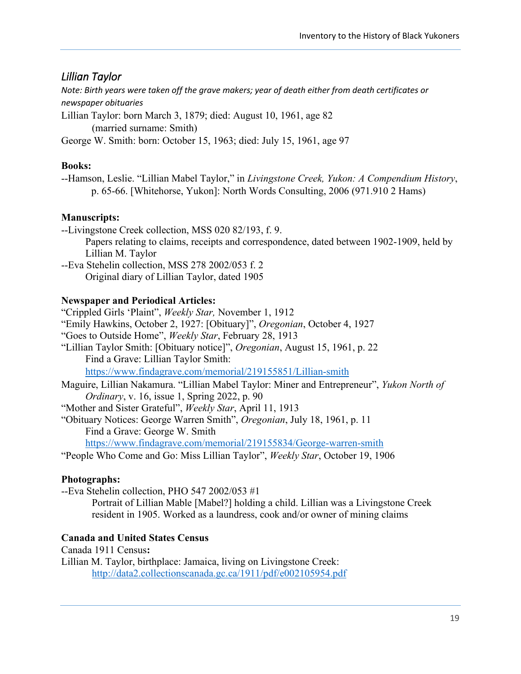## <span id="page-25-0"></span>*Lillian Taylor*

*Note: Birth years were taken off the grave makers; year of death either from death certificates or newspaper obituaries*

Lillian Taylor: born March 3, 1879; died: August 10, 1961, age 82

(married surname: Smith)

George W. Smith: born: October 15, 1963; died: July 15, 1961, age 97

### **Books:**

--Hamson, Leslie. "Lillian Mabel Taylor," in *Livingstone Creek, Yukon: A Compendium History*, p. 65-66. [Whitehorse, Yukon]: North Words Consulting, 2006 (971.910 2 Hams)

### **Manuscripts:**

--Livingstone Creek collection, MSS 020 82/193, f. 9. Papers relating to claims, receipts and correspondence, dated between 1902-1909, held by Lillian M. Taylor

--Eva Stehelin collection, MSS 278 2002/053 f. 2 Original diary of Lillian Taylor, dated 1905

### **Newspaper and Periodical Articles:**

"Crippled Girls 'Plaint", *Weekly Star,* November 1, 1912

"Emily Hawkins, October 2, 1927: [Obituary]", *Oregonian*, October 4, 1927

"Goes to Outside Home", *Weekly Star*, February 28, 1913

- "Lillian Taylor Smith: [Obituary notice]", *Oregonian*, August 15, 1961, p. 22 Find a Grave: Lillian Taylor Smith: <https://www.findagrave.com/memorial/219155851/Lillian-smith>
- Maguire, Lillian Nakamura. "Lillian Mabel Taylor: Miner and Entrepreneur", *Yukon North of Ordinary*, v. 16, issue 1, Spring 2022, p. 90

"Mother and Sister Grateful", *Weekly Star*, April 11, 1913

"Obituary Notices: George Warren Smith", *Oregonian*, July 18, 1961, p. 11 Find a Grave: George W. Smith

<https://www.findagrave.com/memorial/219155834/George-warren-smith>

"People Who Come and Go: Miss Lillian Taylor", *Weekly Star*, October 19, 1906

### **Photographs:**

--Eva Stehelin collection, PHO 547 2002/053 #1

Portrait of Lillian Mable [Mabel?] holding a child. Lillian was a Livingstone Creek resident in 1905. Worked as a laundress, cook and/or owner of mining claims

## **Canada and United States Census**

Canada 1911 Census**:** Lillian M. Taylor, birthplace: Jamaica, living on Livingstone Creek: <http://data2.collectionscanada.gc.ca/1911/pdf/e002105954.pdf>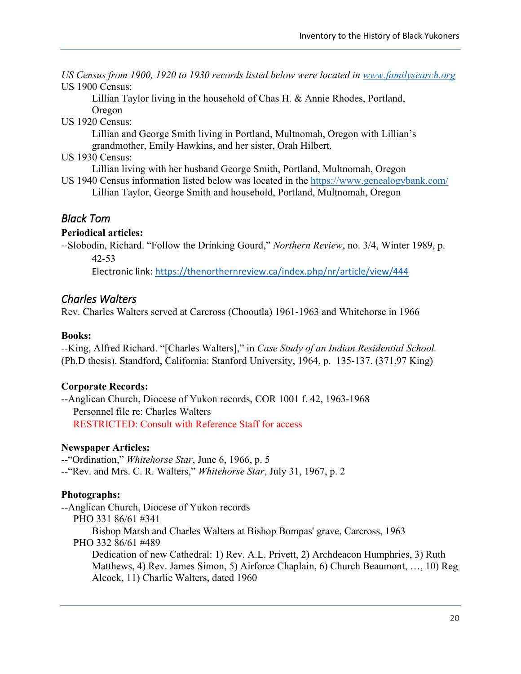*US Census from 1900, 1920 to 1930 records listed below were located in [www.familysearch.org](http://www.familysearch.org/)* US 1900 Census:

Lillian Taylor living in the household of Chas H. & Annie Rhodes, Portland,

Oregon US 1920 Census:

> Lillian and George Smith living in Portland, Multnomah, Oregon with Lillian's grandmother, Emily Hawkins, and her sister, Orah Hilbert.

US 1930 Census:

Lillian living with her husband George Smith, Portland, Multnomah, Oregon

US 1940 Census information listed below was located in the<https://www.genealogybank.com/> Lillian Taylor, George Smith and household, Portland, Multnomah, Oregon

## <span id="page-26-0"></span>*Black Tom*

#### **Periodical articles:**

--Slobodin, Richard. "Follow the Drinking Gourd," *Northern Review*, no. 3/4, Winter 1989, p. 42-53

Electronic link:<https://thenorthernreview.ca/index.php/nr/article/view/444>

## <span id="page-26-1"></span>*Charles Walters*

Rev. Charles Walters served at Carcross (Chooutla) 1961-1963 and Whitehorse in 1966

#### **Books:**

--King, Alfred Richard. "[Charles Walters]," in *Case Study of an Indian Residential School.* (Ph.D thesis). Standford, California: Stanford University, 1964, p. 135-137. (371.97 King)

### **Corporate Records:**

--Anglican Church, Diocese of Yukon records, COR 1001 f. 42, 1963-1968 Personnel file re: Charles Walters RESTRICTED: Consult with Reference Staff for access

#### **Newspaper Articles:**

--"Ordination," *Whitehorse Star*, June 6, 1966, p. 5 --"Rev. and Mrs. C. R. Walters," *Whitehorse Star*, July 31, 1967, p. 2

### **Photographs:**

--Anglican Church, Diocese of Yukon records PHO 331 86/61 #341 Bishop Marsh and Charles Walters at Bishop Bompas' grave, Carcross, 1963 PHO 332 86/61 #489 Dedication of new Cathedral: 1) Rev. A.L. Privett, 2) Archdeacon Humphries, 3) Ruth Matthews, 4) Rev. James Simon, 5) Airforce Chaplain, 6) Church Beaumont, …, 10) Reg Alcock, 11) Charlie Walters, dated 1960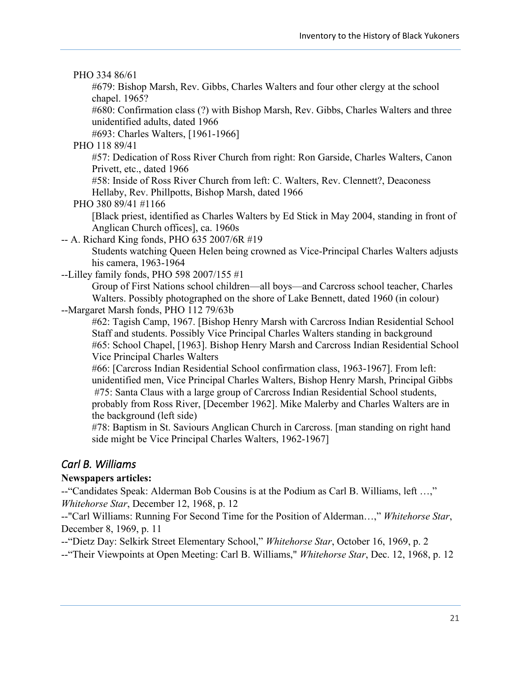#### PHO 334 86/61

#679: Bishop Marsh, Rev. Gibbs, Charles Walters and four other clergy at the school chapel. 1965?

#680: Confirmation class (?) with Bishop Marsh, Rev. Gibbs, Charles Walters and three unidentified adults, dated 1966

#693: Charles Walters, [1961-1966]

PHO 118 89/41

#57: Dedication of Ross River Church from right: Ron Garside, Charles Walters, Canon Privett, etc., dated 1966

#58: Inside of Ross River Church from left: C. Walters, Rev. Clennett?, Deaconess Hellaby, Rev. Phillpotts, Bishop Marsh, dated 1966

PHO 380 89/41 #1166

[Black priest, identified as Charles Walters by Ed Stick in May 2004, standing in front of Anglican Church offices], ca. 1960s

-- A. Richard King fonds, PHO 635 2007/6R #19

Students watching Queen Helen being crowned as Vice-Principal Charles Walters adjusts his camera, 1963-1964

--Lilley family fonds, PHO 598 2007/155 #1

Group of First Nations school children—all boys—and Carcross school teacher, Charles Walters. Possibly photographed on the shore of Lake Bennett, dated 1960 (in colour)

--Margaret Marsh fonds, PHO 112 79/63b

#62: Tagish Camp, 1967. [Bishop Henry Marsh with Carcross Indian Residential School Staff and students. Possibly Vice Principal Charles Walters standing in background #65: School Chapel, [1963]. Bishop Henry Marsh and Carcross Indian Residential School Vice Principal Charles Walters

#66: [Carcross Indian Residential School confirmation class, 1963-1967]. From left: unidentified men, Vice Principal Charles Walters, Bishop Henry Marsh, Principal Gibbs #75: Santa Claus with a large group of Carcross Indian Residential School students, probably from Ross River, [December 1962]. Mike Malerby and Charles Walters are in the background (left side)

#78: Baptism in St. Saviours Anglican Church in Carcross. [man standing on right hand side might be Vice Principal Charles Walters, 1962-1967]

### <span id="page-27-0"></span>*Carl B. Williams*

#### **Newspapers articles:**

--"Candidates Speak: Alderman Bob Cousins is at the Podium as Carl B. Williams, left …," *Whitehorse Star*, December 12, 1968, p. 12

--"Carl Williams: Running For Second Time for the Position of Alderman…," *Whitehorse Star*, December 8, 1969, p. 11

--"Dietz Day: Selkirk Street Elementary School," *Whitehorse Star*, October 16, 1969, p. 2

--"Their Viewpoints at Open Meeting: Carl B. Williams," *Whitehorse Star*, Dec. 12, 1968, p. 12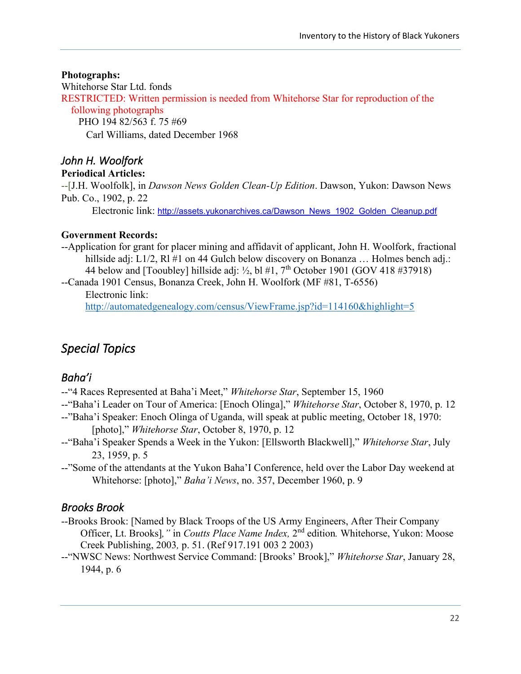#### **Photographs:**

Whitehorse Star Ltd. fonds

RESTRICTED: Written permission is needed from Whitehorse Star for reproduction of the following photographs PHO 194 82/563 f. 75 #69 Carl Williams, dated December 1968

## <span id="page-28-0"></span>*John H. Woolfork*

#### **Periodical Articles:**

--[J.H. Woolfolk], in *Dawson News Golden Clean-Up Edition*. Dawson, Yukon: Dawson News Pub. Co., 1902, p. 22

Electronic link: [http://assets.yukonarchives.ca/Dawson\\_News\\_1902\\_Golden\\_Cleanup.pdf](javascript:igERAccess()

### **Government Records:**

--Application for grant for placer mining and affidavit of applicant, John H. Woolfork, fractional hillside adj: L1/2, R1 #1 on 44 Gulch below discovery on Bonanza ... Holmes bench adj.: 44 below and [Tooubley] hillside adj:  $\frac{1}{2}$ , bl #1, 7<sup>th</sup> October 1901 (GOV 418 #37918)

--Canada 1901 Census, Bonanza Creek, John H. Woolfork (MF #81, T-6556) Electronic link:

<http://automatedgenealogy.com/census/ViewFrame.jsp?id=114160&highlight=5>

# <span id="page-28-1"></span>*Special Topics*

## <span id="page-28-2"></span>*Baha'i*

- --"4 Races Represented at Baha'i Meet," *Whitehorse Star*, September 15, 1960
- --"Baha'i Leader on Tour of America: [Enoch Olinga]," *Whitehorse Star*, October 8, 1970, p. 12
- --"Baha'i Speaker: Enoch Olinga of Uganda, will speak at public meeting, October 18, 1970: [photo]," *Whitehorse Star*, October 8, 1970, p. 12
- --"Baha'i Speaker Spends a Week in the Yukon: [Ellsworth Blackwell]," *Whitehorse Star*, July 23, 1959, p. 5
- --"Some of the attendants at the Yukon Baha'I Conference, held over the Labor Day weekend at Whitehorse: [photo]," *Baha'i News*, no. 357, December 1960, p. 9

## <span id="page-28-3"></span>*Brooks Brook*

- --Brooks Brook: [Named by Black Troops of the US Army Engineers, After Their Company Officer, Lt. Brooks], " in *Coutts Place Name Index*, 2<sup>nd</sup> edition. Whitehorse, Yukon: Moose Creek Publishing, 2003*,* p. 51. (Ref 917.191 003 2 2003)
- --"NWSC News: Northwest Service Command: [Brooks' Brook]," *Whitehorse Star*, January 28, 1944, p. 6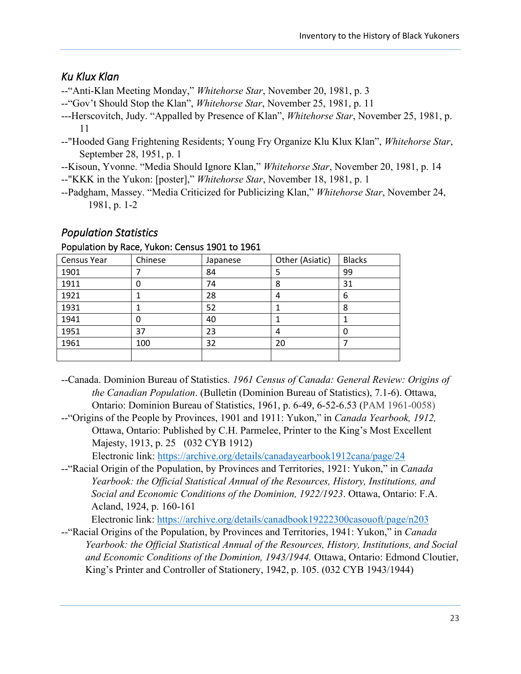## <span id="page-29-0"></span>*Ku Klux Klan*

--"Anti-Klan Meeting Monday," *Whitehorse Star*, November 20, 1981, p. 3

- --"Gov't Should Stop the Klan", *Whitehorse Star*, November 25, 1981, p. 11
- ---Herscovitch, Judy. "Appalled by Presence of Klan", *Whitehorse Star*, November 25, 1981, p. 11
- --"Hooded Gang Frightening Residents; Young Fry Organize Klu Klux Klan", *Whitehorse Star*, September 28, 1951, p. 1
- --Kisoun, Yvonne. "Media Should Ignore Klan," *Whitehorse Star*, November 20, 1981, p. 14
- --"KKK in the Yukon: [poster]," *Whitehorse Star*, November 18, 1981, p. 1
- --Padgham, Massey. "Media Criticized for Publicizing Klan," *Whitehorse Star*, November 24, 1981, p. 1-2

## <span id="page-29-1"></span>*Population Statistics*

#### Population by Race, Yukon: Census 1901 to 1961

| <b>Census Year</b> | Chinese | Japanese | Other (Asiatic) | <b>Blacks</b> |
|--------------------|---------|----------|-----------------|---------------|
| 1901               |         | 84       | 5               | 99            |
| 1911               | 0       | 74       | 8               | 31            |
| 1921               |         | 28       | 4               | 6             |
| 1931               |         | 52       |                 | 8             |
| 1941               |         | 40       |                 |               |
| 1951               | 37      | 23       | 4               | O             |
| 1961               | 100     | 32       | 20              |               |
|                    |         |          |                 |               |

- --Canada. Dominion Bureau of Statistics. *1961 Census of Canada: General Review: Origins of the Canadian Population*. (Bulletin (Dominion Bureau of Statistics), 7.1-6). Ottawa, Ontario: Dominion Bureau of Statistics, 1961, p. 6-49, 6-52-6.53 (PAM 1961-0058)
- --"Origins of the People by Provinces, 1901 and 1911: Yukon," in *Canada Yearbook, 1912,*  Ottawa, Ontario: Published by C.H. Parmelee, Printer to the King's Most Excellent Majesty, 1913, p. 25 (032 CYB 1912)

Electronic link:<https://archive.org/details/canadayearbook1912cana/page/24>

--"Racial Origin of the Population, by Provinces and Territories, 1921: Yukon," in *Canada Yearbook: the Official Statistical Annual of the Resources, History, Institutions, and Social and Economic Conditions of the Dominion, 1922/1923*. Ottawa, Ontario: F.A. Acland, 1924, p. 160-161

Electronic link:<https://archive.org/details/canadbook19222300casouoft/page/n203>

--"Racial Origins of the Population, by Provinces and Territories, 1941: Yukon," in *Canada Yearbook: the Official Statistical Annual of the Resources, History, Institutions, and Social and Economic Conditions of the Dominion, 1943/1944.* Ottawa, Ontario: Edmond Cloutier, King's Printer and Controller of Stationery, 1942, p. 105. (032 CYB 1943/1944)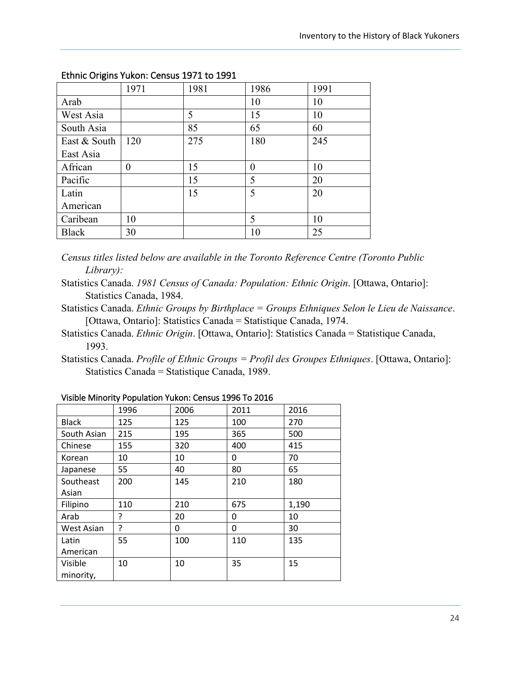|              | 1971 | 1981 | 1986     | 1991 |
|--------------|------|------|----------|------|
| Arab         |      |      | 10       | 10   |
| West Asia    |      | 5    | 15       | 10   |
| South Asia   |      | 85   | 65       | 60   |
| East & South | 120  | 275  | 180      | 245  |
| East Asia    |      |      |          |      |
| African      | 0    | 15   | $\theta$ | 10   |
| Pacific      |      | 15   | 5        | 20   |
| Latin        |      | 15   | 5        | 20   |
| American     |      |      |          |      |
| Caribean     | 10   |      | 5        | 10   |
| <b>Black</b> | 30   |      | 10       | 25   |

#### Ethnic Origins Yukon: Census 1971 to 1991

*Census titles listed below are available in the Toronto Reference Centre (Toronto Public Library):*

- Statistics Canada. *1981 Census of Canada: Population: Ethnic Origin*. [Ottawa, Ontario]: Statistics Canada, 1984.
- Statistics Canada. *Ethnic Groups by Birthplace = Groups Ethniques Selon le Lieu de Naissance*. [Ottawa, Ontario]: Statistics Canada = Statistique Canada, 1974.
- Statistics Canada. *Ethnic Origin*. [Ottawa, Ontario]: Statistics Canada = Statistique Canada, 1993.
- Statistics Canada. *Profile of Ethnic Groups = Profil des Groupes Ethniques*. [Ottawa, Ontario]: Statistics Canada = Statistique Canada, 1989.

|              | 1996 | 2006 | 2011 | 2016  |
|--------------|------|------|------|-------|
| <b>Black</b> | 125  | 125  | 100  | 270   |
| South Asian  | 215  | 195  | 365  | 500   |
| Chinese      | 155  | 320  | 400  | 415   |
| Korean       | 10   | 10   | 0    | 70    |
| Japanese     | 55   | 40   | 80   | 65    |
| Southeast    | 200  | 145  | 210  | 180   |
| Asian        |      |      |      |       |
| Filipino     | 110  | 210  | 675  | 1,190 |
| Arab         | ?    | 20   | 0    | 10    |
| West Asian   | ?    | 0    | 0    | 30    |
| Latin        | 55   | 100  | 110  | 135   |
| American     |      |      |      |       |
| Visible      | 10   | 10   | 35   | 15    |
| minority,    |      |      |      |       |

#### Visible Minority Population Yukon: Census 1996 To 2016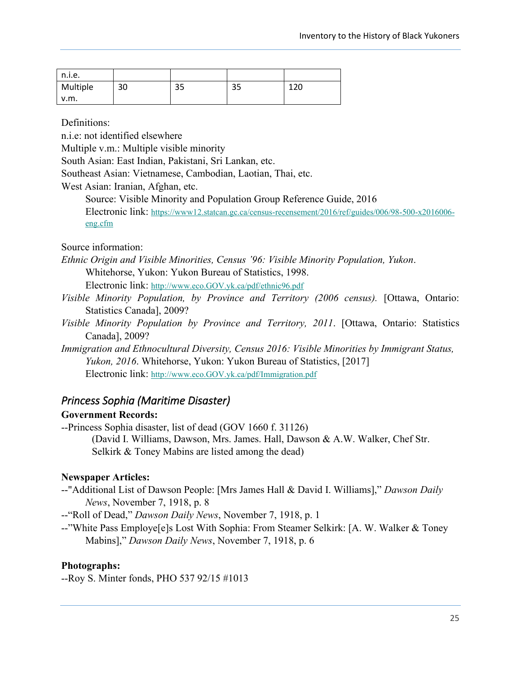| n.i.e.   |    |    |          |     |
|----------|----|----|----------|-----|
| Multiple | 30 | 35 | つに<br>رد | 120 |
| v.m.     |    |    |          |     |

Definitions:

n.i.e: not identified elsewhere

Multiple v.m.: Multiple visible minority

South Asian: East Indian, Pakistani, Sri Lankan, etc.

Southeast Asian: Vietnamese, Cambodian, Laotian, Thai, etc.

West Asian: Iranian, Afghan, etc.

Source: Visible Minority and Population Group Reference Guide, 2016

Electronic link: [https://www12.statcan.gc.ca/census-recensement/2016/ref/guides/006/98-500-x2016006](https://www12.statcan.gc.ca/census-recensement/2016/ref/guides/006/98-500-x2016006-eng.cfm) [eng.cfm](https://www12.statcan.gc.ca/census-recensement/2016/ref/guides/006/98-500-x2016006-eng.cfm)

#### Source information:

*Ethnic Origin and Visible Minorities, Census '96: Visible Minority Population, Yukon*. Whitehorse, Yukon: Yukon Bureau of Statistics, 1998.

Electronic link: [http://www.eco.GOV.yk.ca/pdf/ethnic96.pdf](http://www.eco.gov.yk.ca/pdf/ethnic96.pdf)

- *Visible Minority Population, by Province and Territory (2006 census).* [Ottawa, Ontario: Statistics Canada], 2009?
- *Visible Minority Population by Province and Territory, 2011*. [Ottawa, Ontario: Statistics Canada], 2009?
- *Immigration and Ethnocultural Diversity, Census 2016: Visible Minorities by Immigrant Status, Yukon, 2016*. Whitehorse, Yukon: Yukon Bureau of Statistics, [2017] Electronic link: [http://www.eco.GOV.yk.ca/pdf/Immigration.pdf](http://www.eco.gov.yk.ca/pdf/Immigration.pdf)

### <span id="page-31-0"></span>*Princess Sophia (Maritime Disaster)*

#### **Government Records:**

--Princess Sophia disaster, list of dead (GOV 1660 f. 31126) (David I. Williams, Dawson, Mrs. James. Hall, Dawson & A.W. Walker, Chef Str. Selkirk & Toney Mabins are listed among the dead)

#### **Newspaper Articles:**

--"Additional List of Dawson People: [Mrs James Hall & David I. Williams]," *Dawson Daily News*, November 7, 1918, p. 8

--"Roll of Dead," *Dawson Daily News*, November 7, 1918, p. 1

--"White Pass Employe[e]s Lost With Sophia: From Steamer Selkirk: [A. W. Walker & Toney Mabins]," *Dawson Daily News*, November 7, 1918, p. 6

#### **Photographs:**

--Roy S. Minter fonds, PHO 537 92/15 #1013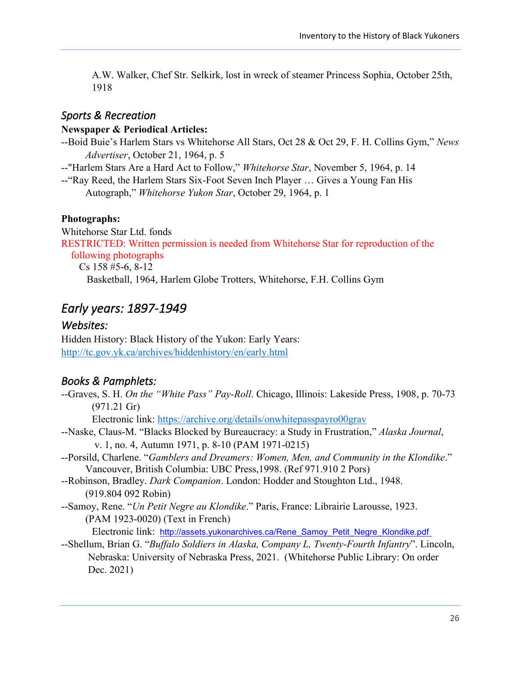A.W. Walker, Chef Str. Selkirk, lost in wreck of steamer Princess Sophia, October 25th, 1918

### <span id="page-32-0"></span>*Sports & Recreation*

#### **Newspaper & Periodical Articles:**

--Boid Buie's Harlem Stars vs Whitehorse All Stars, Oct 28 & Oct 29, F. H. Collins Gym," *News Advertiser*, October 21, 1964, p. 5

--"Harlem Stars Are a Hard Act to Follow," *Whitehorse Star*, November 5, 1964, p. 14

--"Ray Reed, the Harlem Stars Six-Foot Seven Inch Player … Gives a Young Fan His Autograph," *Whitehorse Yukon Star*, October 29, 1964, p. 1

#### **Photographs:**

Whitehorse Star Ltd. fonds RESTRICTED: Written permission is needed from Whitehorse Star for reproduction of the following photographs Cs 158 #5-6, 8-12

Basketball, 1964, Harlem Globe Trotters, Whitehorse, F.H. Collins Gym

## <span id="page-32-1"></span>*Early years: 1897-1949*

#### <span id="page-32-2"></span>*Websites:*

Hidden History: Black History of the Yukon: Early Years: <http://tc.gov.yk.ca/archives/hiddenhistory/en/early.html>

## <span id="page-32-3"></span>*Books & Pamphlets:*

--Graves, S. H. *On the "White Pass" Pay-Roll*. Chicago, Illinois: Lakeside Press, 1908, p. 70-73 (971.21 Gr) Electronic link:<https://archive.org/details/onwhitepasspayro00grav>

--Naske, Claus-M. "Blacks Blocked by Bureaucracy: a Study in Frustration," *Alaska Journal*, v. 1, no. 4, Autumn 1971, p. 8-10 (PAM 1971-0215)

- --Porsild, Charlene. "*Gamblers and Dreamers: Women, Men, and Community in the Klondike*." Vancouver, British Columbia: UBC Press,1998. (Ref 971.910 2 Pors)
- --Robinson, Bradley. *Dark Companion*. London: Hodder and Stoughton Ltd., 1948. (919.804 092 Robin)
- --Samoy, Rene. "*Un Petit Negre au Klondike*." Paris, France: Librairie Larousse, 1923. (PAM 1923-0020) (Text in French)

Electronic link: [http://assets.yukonarchives.ca/Rene\\_Samoy\\_Petit\\_Negre\\_Klondike.pdf](javascript:igERAccess()

--Shellum, Brian G. "*Buffalo Soldiers in Alaska, Company L, Twenty-Fourth Infantry*". Lincoln, Nebraska: University of Nebraska Press, 2021. (Whitehorse Public Library: On order Dec. 2021)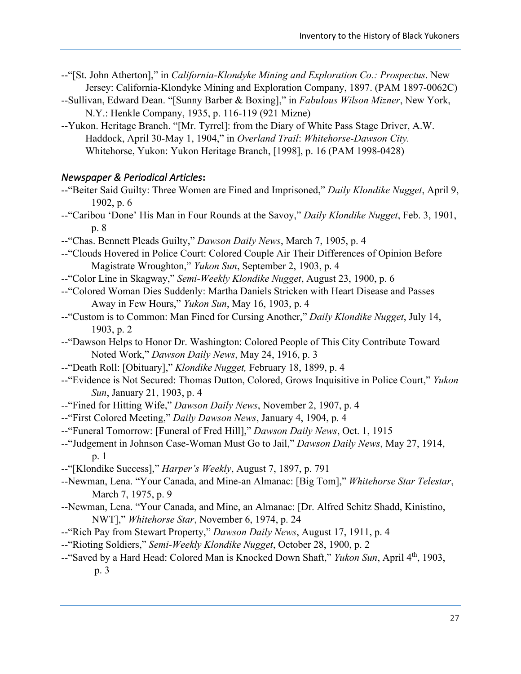- --"[St. John Atherton]," in *California-Klondyke Mining and Exploration Co.: Prospectus*. New Jersey: California-Klondyke Mining and Exploration Company, 1897. (PAM 1897-0062C)
- --Sullivan, Edward Dean. "[Sunny Barber & Boxing]," in *Fabulous Wilson Mizner*, New York, N.Y.: Henkle Company, 1935, p. 116-119 (921 Mizne)
- --Yukon. Heritage Branch. "[Mr. Tyrrel]: from the Diary of White Pass Stage Driver, A.W. Haddock, April 30-May 1, 1904," in *Overland Trail*: *Whitehorse-Dawson City.* Whitehorse, Yukon: Yukon Heritage Branch, [1998], p. 16 (PAM 1998-0428)

#### <span id="page-33-0"></span>*Newspaper & Periodical Articles***:**

- --"Beiter Said Guilty: Three Women are Fined and Imprisoned," *Daily Klondike Nugget*, April 9, 1902, p. 6 --"Caribou 'Done' His Man in Four Rounds at the Savoy," *Daily Klondike Nugget*, Feb. 3, 1901,
- p. 8 --"Chas. Bennett Pleads Guilty," *Dawson Daily News*, March 7, 1905, p. 4
- --"Clouds Hovered in Police Court: Colored Couple Air Their Differences of Opinion Before Magistrate Wroughton," *Yukon Sun*, September 2, 1903, p. 4
- --"Color Line in Skagway," *Semi-Weekly Klondike Nugget*, August 23, 1900, p. 6
- --"Colored Woman Dies Suddenly: Martha Daniels Stricken with Heart Disease and Passes Away in Few Hours," *Yukon Sun*, May 16, 1903, p. 4
- --"Custom is to Common: Man Fined for Cursing Another," *Daily Klondike Nugget*, July 14, 1903, p. 2
- --"Dawson Helps to Honor Dr. Washington: Colored People of This City Contribute Toward Noted Work," *Dawson Daily News*, May 24, 1916, p. 3
- --"Death Roll: [Obituary]," *Klondike Nugget,* February 18, 1899, p. 4
- --"Evidence is Not Secured: Thomas Dutton, Colored, Grows Inquisitive in Police Court," *Yukon Sun*, January 21, 1903, p. 4
- --"Fined for Hitting Wife," *Dawson Daily News*, November 2, 1907, p. 4
- --"First Colored Meeting," *Daily Dawson News*, January 4, 1904, p. 4
- --"Funeral Tomorrow: [Funeral of Fred Hill]," *Dawson Daily News*, Oct. 1, 1915
- --"Judgement in Johnson Case-Woman Must Go to Jail," *Dawson Daily News*, May 27, 1914, p. 1
- --"[Klondike Success]," *Harper's Weekly*, August 7, 1897, p. 791
- --Newman, Lena. "Your Canada, and Mine-an Almanac: [Big Tom]," *Whitehorse Star Telestar*, March 7, 1975, p. 9
- --Newman, Lena. "Your Canada, and Mine, an Almanac: [Dr. Alfred Schitz Shadd, Kinistino, NWT]," *Whitehorse Star*, November 6, 1974, p. 24
- --"Rich Pay from Stewart Property," *Dawson Daily News*, August 17, 1911, p. 4
- --"Rioting Soldiers," *Semi-Weekly Klondike Nugget*, October 28, 1900, p. 2
- --"Saved by a Hard Head: Colored Man is Knocked Down Shaft," *Yukon Sun*, April 4th, 1903, p. 3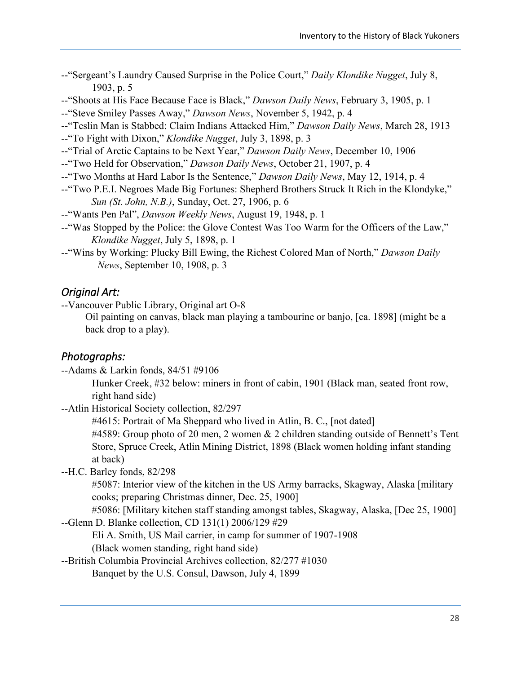| --"Sergeant's Laundry Caused Surprise in the Police Court," Daily Klondike Nugget, July 8, |  |  |  |
|--------------------------------------------------------------------------------------------|--|--|--|
| 1903, p. $5$                                                                               |  |  |  |

--"Shoots at His Face Because Face is Black," *Dawson Daily News*, February 3, 1905, p. 1

--"Steve Smiley Passes Away," *Dawson News*, November 5, 1942, p. 4

--"Teslin Man is Stabbed: Claim Indians Attacked Him," *Dawson Daily News*, March 28, 1913

--"To Fight with Dixon," *Klondike Nugget*, July 3, 1898, p. 3

--"Trial of Arctic Captains to be Next Year," *Dawson Daily News*, December 10, 1906

- --"Two Held for Observation," *Dawson Daily News*, October 21, 1907, p. 4
- --"Two Months at Hard Labor Is the Sentence," *Dawson Daily News*, May 12, 1914, p. 4
- --"Two P.E.I. Negroes Made Big Fortunes: Shepherd Brothers Struck It Rich in the Klondyke," *Sun (St. John, N.B.)*, Sunday, Oct. 27, 1906, p. 6
- --"Wants Pen Pal", *Dawson Weekly News*, August 19, 1948, p. 1
- --"Was Stopped by the Police: the Glove Contest Was Too Warm for the Officers of the Law," *Klondike Nugget*, July 5, 1898, p. 1
- --"Wins by Working: Plucky Bill Ewing, the Richest Colored Man of North," *Dawson Daily News*, September 10, 1908, p. 3

#### <span id="page-34-0"></span>*Original Art:*

--Vancouver Public Library, Original art O-8

Oil painting on canvas, black man playing a tambourine or banjo, [ca. 1898] (might be a back drop to a play).

#### <span id="page-34-1"></span>*Photographs:*

--Adams & Larkin fonds, 84/51 #9106

Hunker Creek, #32 below: miners in front of cabin, 1901 (Black man, seated front row, right hand side)

--Atlin Historical Society collection, 82/297

#4615: Portrait of Ma Sheppard who lived in Atlin, B. C., [not dated]

#4589: Group photo of 20 men, 2 women  $& 2$  children standing outside of Bennett's Tent Store, Spruce Creek, Atlin Mining District, 1898 (Black women holding infant standing at back)

--H.C. Barley fonds, 82/298

#5087: Interior view of the kitchen in the US Army barracks, Skagway, Alaska [military cooks; preparing Christmas dinner, Dec. 25, 1900]

#5086: [Military kitchen staff standing amongst tables, Skagway, Alaska, [Dec 25, 1900] --Glenn D. Blanke collection, CD 131(1) 2006/129 #29

Eli A. Smith, US Mail carrier, in camp for summer of 1907-1908

(Black women standing, right hand side)

--British Columbia Provincial Archives collection, 82/277 #1030 Banquet by the U.S. Consul, Dawson, July 4, 1899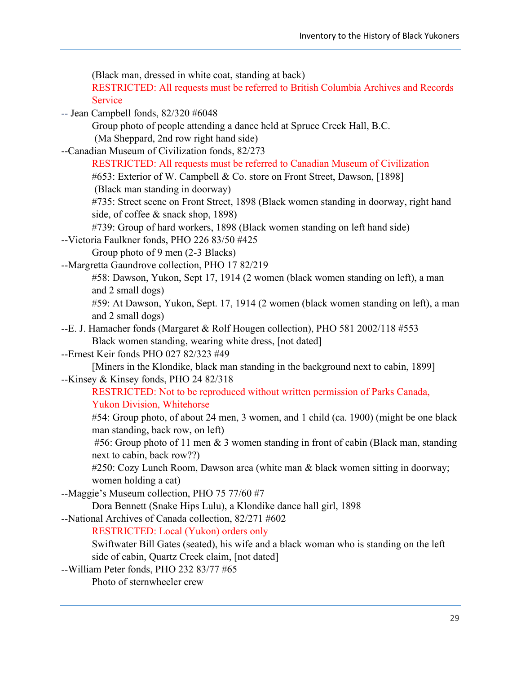(Black man, dressed in white coat, standing at back) RESTRICTED: All requests must be referred to British Columbia Archives and Records Service -- Jean Campbell fonds, 82/320 #6048 Group photo of people attending a dance held at Spruce Creek Hall, B.C. (Ma Sheppard, 2nd row right hand side) --Canadian Museum of Civilization fonds, 82/273 RESTRICTED: All requests must be referred to Canadian Museum of Civilization #653: Exterior of W. Campbell & Co. store on Front Street, Dawson, [1898] (Black man standing in doorway) #735: Street scene on Front Street, 1898 (Black women standing in doorway, right hand side, of coffee & snack shop, 1898) #739: Group of hard workers, 1898 (Black women standing on left hand side) --Victoria Faulkner fonds, PHO 226 83/50 #425 Group photo of 9 men (2-3 Blacks) --Margretta Gaundrove collection, PHO 17 82/219 #58: Dawson, Yukon, Sept 17, 1914 (2 women (black women standing on left), a man and 2 small dogs) #59: At Dawson, Yukon, Sept. 17, 1914 (2 women (black women standing on left), a man and 2 small dogs) --E. J. Hamacher fonds (Margaret & Rolf Hougen collection), PHO 581 2002/118 #553 Black women standing, wearing white dress, [not dated] --Ernest Keir fonds PHO 027 82/323 #49 [Miners in the Klondike, black man standing in the background next to cabin, 1899] --Kinsey & Kinsey fonds, PHO 24 82/318 RESTRICTED: Not to be reproduced without written permission of Parks Canada, Yukon Division, Whitehorse #54: Group photo, of about 24 men, 3 women, and 1 child (ca. 1900) (might be one black man standing, back row, on left) #56: Group photo of 11 men  $& 3$  women standing in front of cabin (Black man, standing next to cabin, back row??) #250: Cozy Lunch Room, Dawson area (white man & black women sitting in doorway; women holding a cat) --Maggie's Museum collection, PHO 75 77/60 #7 Dora Bennett (Snake Hips Lulu), a Klondike dance hall girl, 1898 --National Archives of Canada collection, 82/271 #602 RESTRICTED: Local (Yukon) orders only Swiftwater Bill Gates (seated), his wife and a black woman who is standing on the left side of cabin, Quartz Creek claim, [not dated] --William Peter fonds, PHO 232 83/77 #65 Photo of sternwheeler crew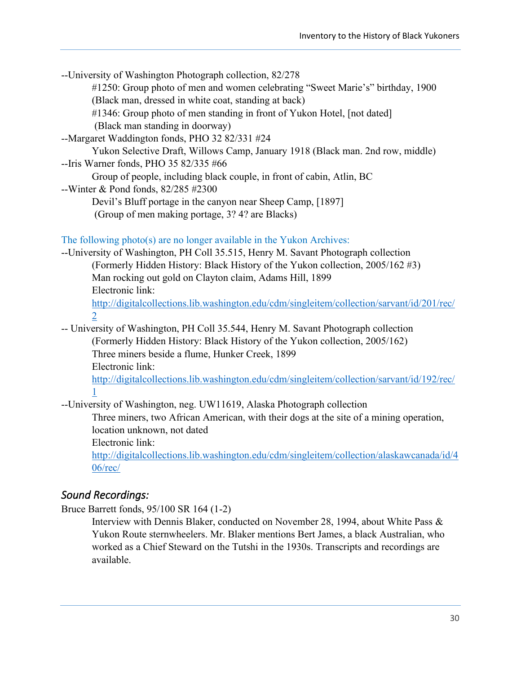| --University of Washington Photograph collection, 82/278                                   |
|--------------------------------------------------------------------------------------------|
| #1250: Group photo of men and women celebrating "Sweet Marie's" birthday, 1900             |
| (Black man, dressed in white coat, standing at back)                                       |
| #1346: Group photo of men standing in front of Yukon Hotel, [not dated]                    |
| (Black man standing in doorway)                                                            |
| --Margaret Waddington fonds, PHO 32 82/331 #24                                             |
| Yukon Selective Draft, Willows Camp, January 1918 (Black man. 2nd row, middle)             |
| --Iris Warner fonds, PHO 35 82/335 #66                                                     |
| Group of people, including black couple, in front of cabin, Atlin, BC                      |
| --Winter & Pond fonds, 82/285 #2300                                                        |
| Devil's Bluff portage in the canyon near Sheep Camp, [1897]                                |
| (Group of men making portage, 3? 4? are Blacks)                                            |
|                                                                                            |
| The following photo(s) are no longer available in the Yukon Archives:                      |
| --University of Washington, PH Coll 35.515, Henry M. Savant Photograph collection          |
| (Formerly Hidden History: Black History of the Yukon collection, 2005/162 #3)              |
| Man rocking out gold on Clayton claim, Adams Hill, 1899                                    |
| Electronic link:                                                                           |
| http://digitalcollections.lib.washington.edu/cdm/singleitem/collection/sarvant/id/201/rec/ |
| $\overline{2}$                                                                             |
|                                                                                            |
| -- University of Washington, PH Coll 35.544, Henry M. Savant Photograph collection         |
| (Formerly Hidden History: Black History of the Yukon collection, 2005/162)                 |
| Three miners beside a flume, Hunker Creek, 1899                                            |
| Electronic link:                                                                           |
| http://digitalcollections.lib.washington.edu/cdm/singleitem/collection/sarvant/id/192/rec/ |
| $\mathbf{1}$                                                                               |
| --University of Washington, neg. UW11619, Alaska Photograph collection                     |
| Three miners, two African American, with their dogs at the site of a mining operation,     |
| location unknown, not dated                                                                |
| Electronic link:                                                                           |
| http://digitalcollections.lib.washington.edu/cdm/singleitem/collection/alaskawcanada/id/4  |
| $06$ /rec/                                                                                 |
|                                                                                            |

# <span id="page-36-0"></span>*Sound Recordings:*

Bruce Barrett fonds, 95/100 SR 164 (1-2)

Interview with Dennis Blaker, conducted on November 28, 1994, about White Pass & Yukon Route sternwheelers. Mr. Blaker mentions Bert James, a black Australian, who worked as a Chief Steward on the Tutshi in the 1930s. Transcripts and recordings are available.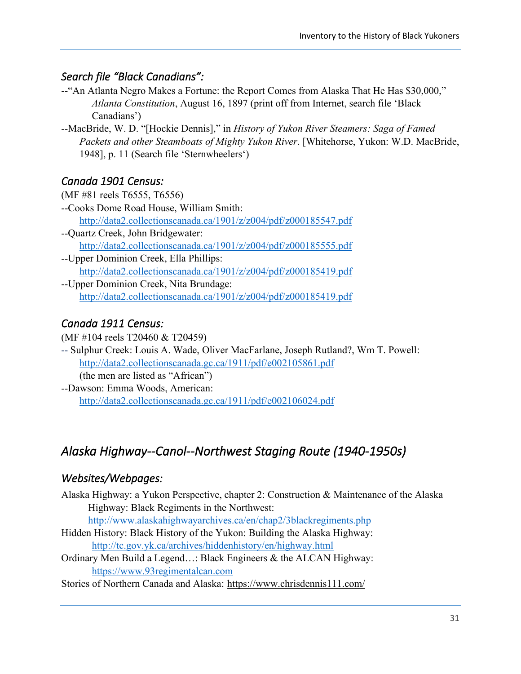## <span id="page-37-0"></span>*Search file "Black Canadians":*

- --"An Atlanta Negro Makes a Fortune: the Report Comes from Alaska That He Has \$30,000," *Atlanta Constitution*, August 16, 1897 (print off from Internet, search file 'Black Canadians')
- --MacBride, W. D. "[Hockie Dennis]," in *History of Yukon River Steamers: Saga of Famed Packets and other Steamboats of Mighty Yukon River*. [Whitehorse, Yukon: W.D. MacBride, 1948], p. 11 (Search file 'Sternwheelers')

## <span id="page-37-1"></span>*Canada 1901 Census:*

- (MF #81 reels T6555, T6556) --Cooks Dome Road House, William Smith: <http://data2.collectionscanada.ca/1901/z/z004/pdf/z000185547.pdf>
- --Quartz Creek, John Bridgewater: <http://data2.collectionscanada.ca/1901/z/z004/pdf/z000185555.pdf>
- --Upper Dominion Creek, Ella Phillips: <http://data2.collectionscanada.ca/1901/z/z004/pdf/z000185419.pdf>
- --Upper Dominion Creek, Nita Brundage: <http://data2.collectionscanada.ca/1901/z/z004/pdf/z000185419.pdf>

## <span id="page-37-2"></span>*Canada 1911 Census:*

(MF #104 reels T20460 & T20459)

- -- Sulphur Creek: Louis A. Wade, Oliver MacFarlane, Joseph Rutland?, Wm T. Powell: <http://data2.collectionscanada.gc.ca/1911/pdf/e002105861.pdf> (the men are listed as "African")
- --Dawson: Emma Woods, American: <http://data2.collectionscanada.gc.ca/1911/pdf/e002106024.pdf>

# <span id="page-37-3"></span>*Alaska Highway--Canol--Northwest Staging Route (1940-1950s)*

## <span id="page-37-4"></span>*Websites/Webpages:*

Alaska Highway: a Yukon Perspective, chapter 2: Construction & Maintenance of the Alaska Highway: Black Regiments in the Northwest:

<http://www.alaskahighwayarchives.ca/en/chap2/3blackregiments.php>

- Hidden History: Black History of the Yukon: Building the Alaska Highway: <http://tc.gov.yk.ca/archives/hiddenhistory/en/highway.html>
- Ordinary Men Build a Legend…: Black Engineers & the ALCAN Highway: [https://www.93regimentalcan.com](https://www.93regimentalcan.com/)
- Stories of Northern Canada and Alaska: <https://www.chrisdennis111.com/>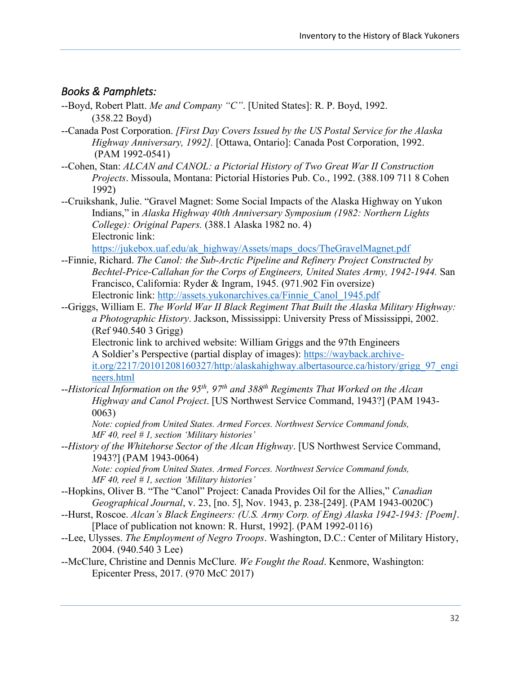## <span id="page-38-0"></span>*Books & Pamphlets:*

- --Boyd, Robert Platt. *Me and Company "C"*. [United States]: R. P. Boyd, 1992. (358.22 Boyd)
- --Canada Post Corporation. *[First Day Covers Issued by the US Postal Service for the Alaska Highway Anniversary, 1992].* [Ottawa, Ontario]: Canada Post Corporation, 1992. (PAM 1992-0541)
- --Cohen, Stan: *ALCAN and CANOL: a Pictorial History of Two Great War II Construction Projects*. Missoula, Montana: Pictorial Histories Pub. Co., 1992. (388.109 711 8 Cohen 1992)
- --Cruikshank, Julie. "Gravel Magnet: Some Social Impacts of the Alaska Highway on Yukon Indians," in *Alaska Highway 40th Anniversary Symposium (1982: Northern Lights College): Original Papers.* (388.1 Alaska 1982 no. 4) Electronic link:

[https://jukebox.uaf.edu/ak\\_highway/Assets/maps\\_docs/TheGravelMagnet.pdf](https://jukebox.uaf.edu/ak_highway/Assets/maps_docs/TheGravelMagnet.pdf)

- --Finnie, Richard. *The Canol: the Sub-Arctic Pipeline and Refinery Project Constructed by Bechtel-Price-Callahan for the Corps of Engineers, United States Army, 1942-1944.* San Francisco, California: Ryder & Ingram, 1945. (971.902 Fin oversize) Electronic link: [http://assets.yukonarchives.ca/Finnie\\_Canol\\_1945.pdf](http://assets.yukonarchives.ca/Finnie_Canol_1945.pdf)
- --Griggs, William E. *The World War II Black Regiment That Built the Alaska Military Highway: a Photographic History*. Jackson, Mississippi: University Press of Mississippi, 2002. (Ref 940.540 3 Grigg)

Electronic link to archived website: William Griggs and the 97th Engineers A Soldier's Perspective (partial display of images): [https://wayback.archive](https://wayback.archive-it.org/2217/20101208160327/http:/alaskahighway.albertasource.ca/history/grigg_97_engineers.html)[it.org/2217/20101208160327/http:/alaskahighway.albertasource.ca/history/grigg\\_97\\_engi](https://wayback.archive-it.org/2217/20101208160327/http:/alaskahighway.albertasource.ca/history/grigg_97_engineers.html) [neers.html](https://wayback.archive-it.org/2217/20101208160327/http:/alaskahighway.albertasource.ca/history/grigg_97_engineers.html)

--*Historical Information on the 95th, 97th and 388th Regiments That Worked on the Alcan Highway and Canol Project*. [US Northwest Service Command, 1943?] (PAM 1943- 0063)

*Note: copied from United States. Armed Forces. Northwest Service Command fonds, MF 40, reel # 1, section 'Military histories'*

--*History of the Whitehorse Sector of the Alcan Highway*. [US Northwest Service Command, 1943?] (PAM 1943-0064)

*Note: copied from United States. Armed Forces. Northwest Service Command fonds, MF 40, reel # 1, section 'Military histories'*

- --Hopkins, Oliver B. "The "Canol" Project: Canada Provides Oil for the Allies," *Canadian Geographical Journal*, v. 23, [no. 5], Nov. 1943, p. 238-[249]. (PAM 1943-0020C)
- --Hurst, Roscoe. *Alcan's Black Engineers: (U.S. Army Corp. of Eng) Alaska 1942-1943: [Poem]*. [Place of publication not known: R. Hurst, 1992]. (PAM 1992-0116)
- --Lee, Ulysses. *The Employment of Negro Troops*. Washington, D.C.: Center of Military History, 2004. (940.540 3 Lee)
- --McClure, Christine and Dennis McClure. *We Fought the Road*. Kenmore, Washington: Epicenter Press, 2017. (970 McC 2017)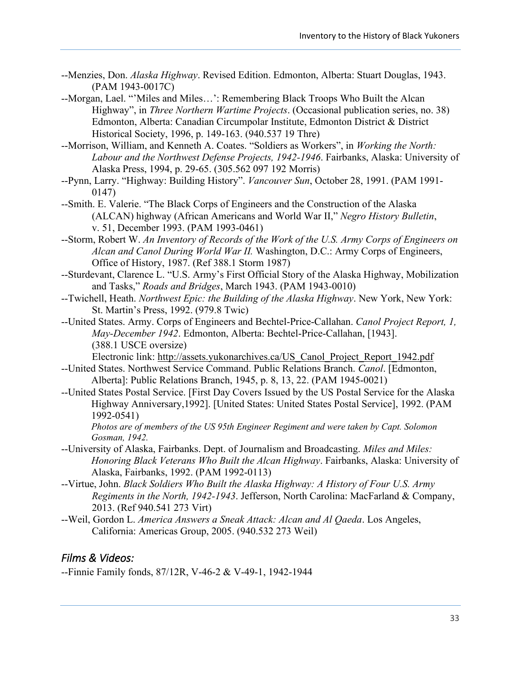- --Menzies, Don. *Alaska Highway*. Revised Edition. Edmonton, Alberta: Stuart Douglas, 1943. (PAM 1943-0017C)
- --Morgan, Lael. "'Miles and Miles…': Remembering Black Troops Who Built the Alcan Highway", in *Three Northern Wartime Projects*. (Occasional publication series, no. 38) Edmonton, Alberta: Canadian Circumpolar Institute, Edmonton District & District Historical Society, 1996, p. 149-163. (940.537 19 Thre)
- --Morrison, William, and Kenneth A. Coates. "Soldiers as Workers", in *Working the North: Labour and the Northwest Defense Projects, 1942-1946*. Fairbanks, Alaska: University of Alaska Press, 1994, p. 29-65. (305.562 097 192 Morris)
- --Pynn, Larry. "Highway: Building History". *Vancouver Sun*, October 28, 1991. (PAM 1991- 0147)
- --Smith. E. Valerie. "The Black Corps of Engineers and the Construction of the Alaska (ALCAN) highway (African Americans and World War II," *Negro History Bulletin*, v. 51, December 1993. (PAM 1993-0461)
- --Storm, Robert W. *An Inventory of Records of the Work of the U.S. Army Corps of Engineers on Alcan and Canol During World War II.* Washington, D.C.: Army Corps of Engineers, Office of History, 1987. (Ref 388.1 Storm 1987)
- --Sturdevant, Clarence L. "U.S. Army's First Official Story of the Alaska Highway, Mobilization and Tasks," *Roads and Bridges*, March 1943. (PAM 1943-0010)
- --Twichell, Heath. *Northwest Epic: the Building of the Alaska Highway*. New York, New York: St. Martin's Press, 1992. (979.8 Twic)
- --United States. Army. Corps of Engineers and Bechtel-Price-Callahan. *Canol Project Report, 1, May-December 1942*. Edmonton, Alberta: Bechtel-Price-Callahan, [1943]. (388.1 USCE oversize)
	- Electronic link: [http://assets.yukonarchives.ca/US\\_Canol\\_Project\\_Report\\_1942.pdf](http://assets.yukonarchives.ca/US_Canol_Project_Report_1942.pdf)
- --United States. Northwest Service Command. Public Relations Branch. *Canol*. [Edmonton, Alberta]: Public Relations Branch, 1945, p. 8, 13, 22. (PAM 1945-0021)
- --United States Postal Service. [First Day Covers Issued by the US Postal Service for the Alaska Highway Anniversary,1992]. [United States: United States Postal Service], 1992. (PAM 1992-0541)

*Photos are of members of the US 95th Engineer Regiment and were taken by Capt. Solomon Gosman, 1942.*

- --University of Alaska, Fairbanks. Dept. of Journalism and Broadcasting. *Miles and Miles: Honoring Black Veterans Who Built the Alcan Highway*. Fairbanks, Alaska: University of Alaska, Fairbanks, 1992. (PAM 1992-0113)
- --Virtue, John. *Black Soldiers Who Built the Alaska Highway: A History of Four U.S. Army Regiments in the North, 1942-1943*. Jefferson, North Carolina: MacFarland & Company, 2013. (Ref 940.541 273 Virt)
- --Weil, Gordon L. *America Answers a Sneak Attack: Alcan and Al Qaeda*. Los Angeles, California: Americas Group, 2005. (940.532 273 Weil)

## <span id="page-39-0"></span>*Films & Videos:*

--Finnie Family fonds, 87/12R, V-46-2 & V-49-1, 1942-1944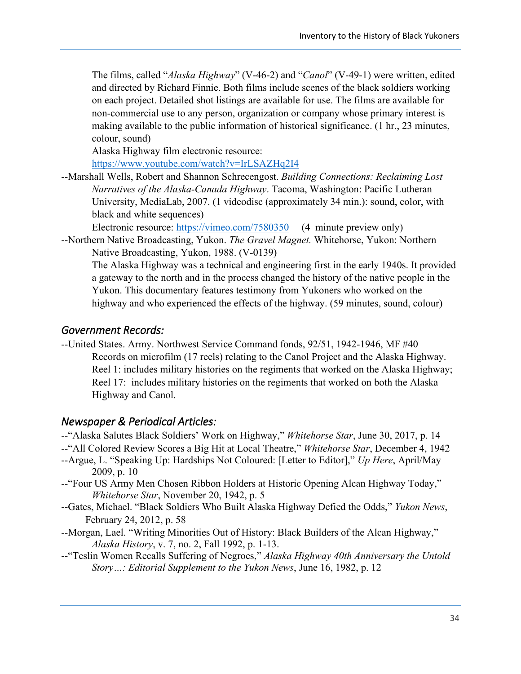The films, called "*Alaska Highway*" (V-46-2) and "*Canol*" (V-49-1) were written, edited and directed by Richard Finnie. Both films include scenes of the black soldiers working on each project. Detailed shot listings are available for use. The films are available for non-commercial use to any person, organization or company whose primary interest is making available to the public information of historical significance. (1 hr., 23 minutes, colour, sound)

Alaska Highway film electronic resource:

<https://www.youtube.com/watch?v=IrLSAZHq2I4>

--Marshall Wells, Robert and Shannon Schrecengost. *Building Connections: Reclaiming Lost Narratives of the Alaska-Canada Highway*. Tacoma, Washington: Pacific Lutheran University, MediaLab, 2007. (1 videodisc (approximately 34 min.): sound, color, with black and white sequences)

Electronic resource:<https://vimeo.com/7580350>(4 minute preview only)

--Northern Native Broadcasting, Yukon. *The Gravel Magnet.* Whitehorse, Yukon: Northern Native Broadcasting, Yukon, 1988. (V-0139)

The Alaska Highway was a technical and engineering first in the early 1940s. It provided a gateway to the north and in the process changed the history of the native people in the Yukon. This documentary features testimony from Yukoners who worked on the highway and who experienced the effects of the highway. (59 minutes, sound, colour)

### <span id="page-40-0"></span>*Government Records:*

--United States. Army. Northwest Service Command fonds, 92/51, 1942-1946, MF #40 Records on microfilm (17 reels) relating to the Canol Project and the Alaska Highway. Reel 1: includes military histories on the regiments that worked on the Alaska Highway; Reel 17: includes military histories on the regiments that worked on both the Alaska Highway and Canol.

### <span id="page-40-1"></span>*Newspaper & Periodical Articles:*

- --"Alaska Salutes Black Soldiers' Work on Highway," *Whitehorse Star*, June 30, 2017, p. 14
- --"All Colored Review Scores a Big Hit at Local Theatre," *Whitehorse Star*, December 4, 1942
- --Argue, L. "Speaking Up: Hardships Not Coloured: [Letter to Editor]," *Up Here*, April/May 2009, p. 10
- --"Four US Army Men Chosen Ribbon Holders at Historic Opening Alcan Highway Today," *Whitehorse Star*, November 20, 1942, p. 5
- --Gates, Michael. "Black Soldiers Who Built Alaska Highway Defied the Odds," *Yukon News*, February 24, 2012, p. 58
- --Morgan, Lael. "Writing Minorities Out of History: Black Builders of the Alcan Highway," *Alaska History*, v. 7, no. 2, Fall 1992, p. 1-13.
- --"Teslin Women Recalls Suffering of Negroes," *Alaska Highway 40th Anniversary the Untold Story…: Editorial Supplement to the Yukon News*, June 16, 1982, p. 12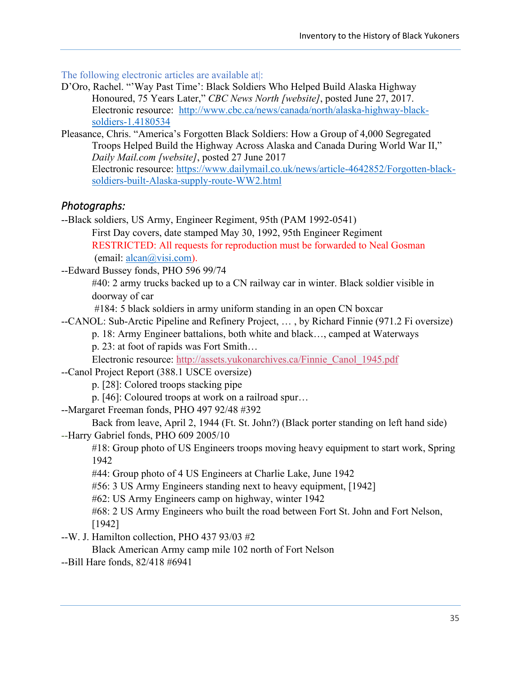The following electronic articles are available at :

- D'Oro, Rachel. "'Way Past Time': Black Soldiers Who Helped Build Alaska Highway Honoured, 75 Years Later," *CBC News North [website]*, posted June 27, 2017. Electronic resource: [http://www.cbc.ca/news/canada/north/alaska-highway-black](http://www.cbc.ca/news/canada/north/alaska-highway-black-soldiers-1.4180534)[soldiers-1.4180534](http://www.cbc.ca/news/canada/north/alaska-highway-black-soldiers-1.4180534)
- Pleasance, Chris. "America's Forgotten Black Soldiers: How a Group of 4,000 Segregated Troops Helped Build the Highway Across Alaska and Canada During World War II," *Daily Mail.com [website]*, posted 27 June 2017 Electronic resource: [https://www.dailymail.co.uk/news/article-4642852/Forgotten-black](https://www.dailymail.co.uk/news/article-4642852/Forgotten-black-soldiers-built-Alaska-supply-route-WW2.html)[soldiers-built-Alaska-supply-route-WW2.html](https://www.dailymail.co.uk/news/article-4642852/Forgotten-black-soldiers-built-Alaska-supply-route-WW2.html)

## <span id="page-41-0"></span>*Photographs:*

--Black soldiers, US Army, Engineer Regiment, 95th (PAM 1992-0541) First Day covers, date stamped May 30, 1992, 95th Engineer Regiment RESTRICTED: All requests for reproduction must be forwarded to Neal Gosman (email: [alcan@visi.com\)](mailto:alcan@visi.com).

--Edward Bussey fonds, PHO 596 99/74

#40: 2 army trucks backed up to a CN railway car in winter. Black soldier visible in doorway of car

#184: 5 black soldiers in army uniform standing in an open CN boxcar

--CANOL: Sub-Arctic Pipeline and Refinery Project, … , by Richard Finnie (971.2 Fi oversize)

p. 18: Army Engineer battalions, both white and black…, camped at Waterways p. 23: at foot of rapids was Fort Smith…

Electronic resource: [http://assets.yukonarchives.ca/Finnie\\_Canol\\_1945.pdf](http://assets.yukonarchives.ca/Finnie_Canol_1945.pdf)

--Canol Project Report (388.1 USCE oversize)

p. [28]: Colored troops stacking pipe

p. [46]: Coloured troops at work on a railroad spur…

--Margaret Freeman fonds, PHO 497 92/48 #392

Back from leave, April 2, 1944 (Ft. St. John?) (Black porter standing on left hand side) --Harry Gabriel fonds, PHO 609 2005/10

#18: Group photo of US Engineers troops moving heavy equipment to start work, Spring 1942

#44: Group photo of 4 US Engineers at Charlie Lake, June 1942

#56: 3 US Army Engineers standing next to heavy equipment, [1942]

#62: US Army Engineers camp on highway, winter 1942

#68: 2 US Army Engineers who built the road between Fort St. John and Fort Nelson, [1942]

--W. J. Hamilton collection, PHO 437 93/03 #2

Black American Army camp mile 102 north of Fort Nelson

--Bill Hare fonds, 82/418 #6941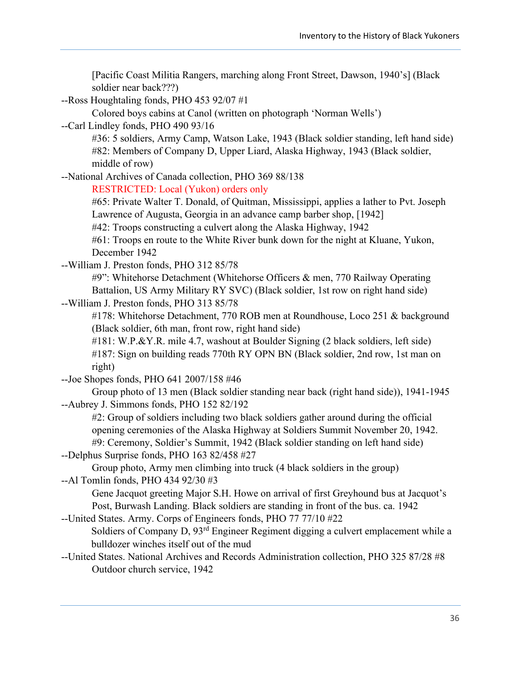| [Pacific Coast Militia Rangers, marching along Front Street, Dawson, 1940's] (Black |  |
|-------------------------------------------------------------------------------------|--|
| soldier near back???)                                                               |  |
| --Ross Houghtaling fonds, PHO 453 92/07 #1                                          |  |
| Colored boys cabins at Canol (written on photograph 'Norman Wells')                 |  |

--Carl Lindley fonds, PHO 490 93/16

#36: 5 soldiers, Army Camp, Watson Lake, 1943 (Black soldier standing, left hand side) #82: Members of Company D, Upper Liard, Alaska Highway, 1943 (Black soldier, middle of row)

--National Archives of Canada collection, PHO 369 88/138

RESTRICTED: Local (Yukon) orders only

#65: Private Walter T. Donald, of Quitman, Mississippi, applies a lather to Pvt. Joseph Lawrence of Augusta, Georgia in an advance camp barber shop, [1942]

#42: Troops constructing a culvert along the Alaska Highway, 1942

#61: Troops en route to the White River bunk down for the night at Kluane, Yukon, December 1942

--William J. Preston fonds, PHO 312 85/78

#9": Whitehorse Detachment (Whitehorse Officers & men, 770 Railway Operating Battalion, US Army Military RY SVC) (Black soldier, 1st row on right hand side)

--William J. Preston fonds, PHO 313 85/78

#178: Whitehorse Detachment, 770 ROB men at Roundhouse, Loco 251 & background (Black soldier, 6th man, front row, right hand side)

#181: W.P.&Y.R. mile 4.7, washout at Boulder Signing (2 black soldiers, left side) #187: Sign on building reads 770th RY OPN BN (Black soldier, 2nd row, 1st man on right)

--Joe Shopes fonds, PHO 641 2007/158 #46

Group photo of 13 men (Black soldier standing near back (right hand side)), 1941-1945 --Aubrey J. Simmons fonds, PHO 152 82/192

#2: Group of soldiers including two black soldiers gather around during the official opening ceremonies of the Alaska Highway at Soldiers Summit November 20, 1942. #9: Ceremony, Soldier's Summit, 1942 (Black soldier standing on left hand side)

--Delphus Surprise fonds, PHO 163 82/458 #27

Group photo, Army men climbing into truck (4 black soldiers in the group) --Al Tomlin fonds, PHO 434 92/30 #3

Gene Jacquot greeting Major S.H. Howe on arrival of first Greyhound bus at Jacquot's Post, Burwash Landing. Black soldiers are standing in front of the bus. ca. 1942

--United States. Army. Corps of Engineers fonds, PHO 77 77/10 #22

Soldiers of Company D,  $93<sup>rd</sup>$  Engineer Regiment digging a culvert emplacement while a bulldozer winches itself out of the mud

--United States. National Archives and Records Administration collection, PHO 325 87/28 #8 Outdoor church service, 1942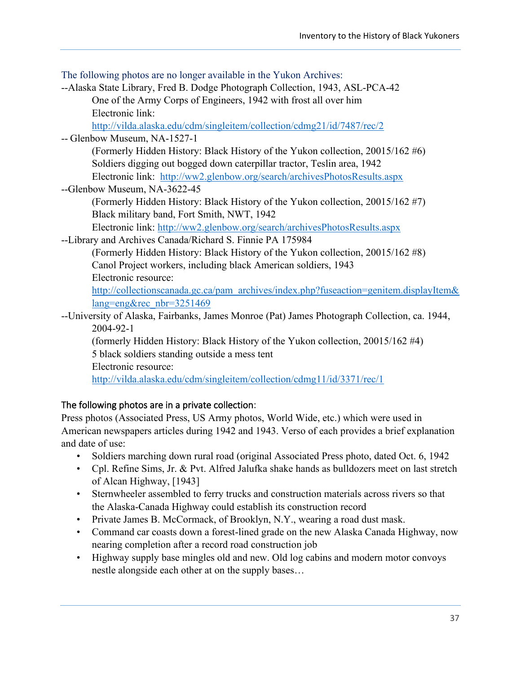The following photos are no longer available in the Yukon Archives: --Alaska State Library, Fred B. Dodge Photograph Collection, 1943, ASL-PCA-42 One of the Army Corps of Engineers, 1942 with frost all over him Electronic link: <http://vilda.alaska.edu/cdm/singleitem/collection/cdmg21/id/7487/rec/2> -- Glenbow Museum, NA-1527-1 (Formerly Hidden History: Black History of the Yukon collection, 20015/162 #6) Soldiers digging out bogged down caterpillar tractor, Teslin area, 1942 Electronic link: <http://ww2.glenbow.org/search/archivesPhotosResults.aspx> --Glenbow Museum, NA-3622-45 (Formerly Hidden History: Black History of the Yukon collection, 20015/162 #7) Black military band, Fort Smith, NWT, 1942 Electronic link:<http://ww2.glenbow.org/search/archivesPhotosResults.aspx> --Library and Archives Canada/Richard S. Finnie PA 175984 (Formerly Hidden History: Black History of the Yukon collection, 20015/162 #8) Canol Project workers, including black American soldiers, 1943 Electronic resource: [http://collectionscanada.gc.ca/pam\\_archives/index.php?fuseaction=genitem.displayItem&](http://collectionscanada.gc.ca/pam_archives/index.php?fuseaction=genitem.displayItem&lang=eng&rec_nbr=3251469) [lang=eng&rec\\_nbr=3251469](http://collectionscanada.gc.ca/pam_archives/index.php?fuseaction=genitem.displayItem&lang=eng&rec_nbr=3251469) --University of Alaska, Fairbanks, James Monroe (Pat) James Photograph Collection, ca. 1944, 2004-92-1 (formerly Hidden History: Black History of the Yukon collection, 20015/162 #4) 5 black soldiers standing outside a mess tent Electronic resource: <http://vilda.alaska.edu/cdm/singleitem/collection/cdmg11/id/3371/rec/1>

## The following photos are in a private collection:

Press photos (Associated Press, US Army photos, World Wide, etc.) which were used in American newspapers articles during 1942 and 1943. Verso of each provides a brief explanation and date of use:

- Soldiers marching down rural road (original Associated Press photo, dated Oct. 6, 1942
- Cpl. Refine Sims, Jr. & Pvt. Alfred Jalufka shake hands as bulldozers meet on last stretch of Alcan Highway, [1943]
- Sternwheeler assembled to ferry trucks and construction materials across rivers so that the Alaska-Canada Highway could establish its construction record
- Private James B. McCormack, of Brooklyn, N.Y., wearing a road dust mask.
- Command car coasts down a forest-lined grade on the new Alaska Canada Highway, now nearing completion after a record road construction job
- Highway supply base mingles old and new. Old log cabins and modern motor convoys nestle alongside each other at on the supply bases…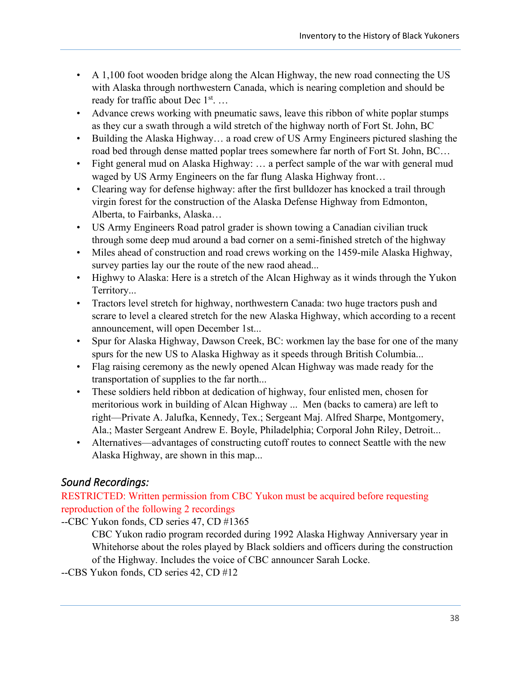- A 1,100 foot wooden bridge along the Alcan Highway, the new road connecting the US with Alaska through northwestern Canada, which is nearing completion and should be ready for traffic about Dec 1<sup>st</sup>...
- Advance crews working with pneumatic saws, leave this ribbon of white poplar stumps as they cur a swath through a wild stretch of the highway north of Fort St. John, BC
- Building the Alaska Highway... a road crew of US Army Engineers pictured slashing the road bed through dense matted poplar trees somewhere far north of Fort St. John, BC…
- Fight general mud on Alaska Highway: ... a perfect sample of the war with general mud waged by US Army Engineers on the far flung Alaska Highway front…
- Clearing way for defense highway: after the first bulldozer has knocked a trail through virgin forest for the construction of the Alaska Defense Highway from Edmonton, Alberta, to Fairbanks, Alaska…
- US Army Engineers Road patrol grader is shown towing a Canadian civilian truck through some deep mud around a bad corner on a semi-finished stretch of the highway
- Miles ahead of construction and road crews working on the 1459-mile Alaska Highway, survey parties lay our the route of the new raod ahead...
- Highwy to Alaska: Here is a stretch of the Alcan Highway as it winds through the Yukon Territory...
- Tractors level stretch for highway, northwestern Canada: two huge tractors push and scrare to level a cleared stretch for the new Alaska Highway, which according to a recent announcement, will open December 1st...
- Spur for Alaska Highway, Dawson Creek, BC: workmen lay the base for one of the many spurs for the new US to Alaska Highway as it speeds through British Columbia...
- Flag raising ceremony as the newly opened Alcan Highway was made ready for the transportation of supplies to the far north...
- These soldiers held ribbon at dedication of highway, four enlisted men, chosen for meritorious work in building of Alcan Highway ... Men (backs to camera) are left to right—Private A. Jalufka, Kennedy, Tex.; Sergeant Maj. Alfred Sharpe, Montgomery, Ala.; Master Sergeant Andrew E. Boyle, Philadelphia; Corporal John Riley, Detroit...
- Alternatives—advantages of constructing cutoff routes to connect Seattle with the new Alaska Highway, are shown in this map...

# <span id="page-44-0"></span>*Sound Recordings:*

RESTRICTED: Written permission from CBC Yukon must be acquired before requesting reproduction of the following 2 recordings

--CBC Yukon fonds, CD series 47, CD #1365 CBC Yukon radio program recorded during 1992 Alaska Highway Anniversary year in Whitehorse about the roles played by Black soldiers and officers during the construction of the Highway. Includes the voice of CBC announcer Sarah Locke.

--CBS Yukon fonds, CD series 42, CD #12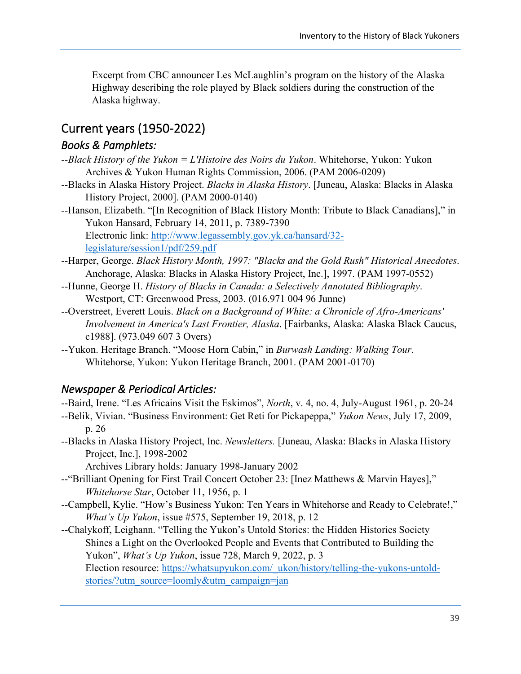Excerpt from CBC announcer Les McLaughlin's program on the history of the Alaska Highway describing the role played by Black soldiers during the construction of the Alaska highway.

# <span id="page-45-0"></span>Current years (1950-2022)

## <span id="page-45-1"></span>*Books & Pamphlets:*

- --*Black History of the Yukon = L'Histoire des Noirs du Yukon*. Whitehorse, Yukon: Yukon Archives & Yukon Human Rights Commission, 2006. (PAM 2006-0209)
- --Blacks in Alaska History Project. *Blacks in Alaska History*. [Juneau, Alaska: Blacks in Alaska History Project, 2000]. (PAM 2000-0140)
- --Hanson, Elizabeth. "[In Recognition of Black History Month: Tribute to Black Canadians]," in Yukon Hansard, February 14, 2011, p. 7389-7390 Electronic link: [http://www.legassembly.gov.yk.ca/hansard/32](http://www.legassembly.gov.yk.ca/hansard/32-legislature/session1/pdf/259.pdf) [legislature/session1/pdf/259.pdf](http://www.legassembly.gov.yk.ca/hansard/32-legislature/session1/pdf/259.pdf)
- --Harper, George. *Black History Month, 1997: "Blacks and the Gold Rush" Historical Anecdotes*. Anchorage, Alaska: Blacks in Alaska History Project, Inc.], 1997. (PAM 1997-0552)
- --Hunne, George H. *History of Blacks in Canada: a Selectively Annotated Bibliography*. Westport, CT: Greenwood Press, 2003. (016.971 004 96 Junne)
- --Overstreet, Everett Louis. *Black on a Background of White: a Chronicle of Afro-Americans' Involvement in America's Last Frontier, Alaska*. [Fairbanks, Alaska: Alaska Black Caucus, c1988]. (973.049 607 3 Overs)
- --Yukon. Heritage Branch. "Moose Horn Cabin," in *Burwash Landing: Walking Tour*. Whitehorse, Yukon: Yukon Heritage Branch, 2001. (PAM 2001-0170)

## <span id="page-45-2"></span>*Newspaper & Periodical Articles:*

- --Baird, Irene. "Les Africains Visit the Eskimos", *North*, v. 4, no. 4, July-August 1961, p. 20-24
- --Belik, Vivian. "Business Environment: Get Reti for Pickapeppa," *Yukon News*, July 17, 2009, p. 26
- --Blacks in Alaska History Project, Inc. *Newsletters.* [Juneau, Alaska: Blacks in Alaska History Project, Inc.], 1998-2002

Archives Library holds: January 1998-January 2002

- --"Brilliant Opening for First Trail Concert October 23: [Inez Matthews & Marvin Hayes]," *Whitehorse Star*, October 11, 1956, p. 1
- --Campbell, Kylie. "How's Business Yukon: Ten Years in Whitehorse and Ready to Celebrate!," *What's Up Yukon*, issue #575, September 19, 2018, p. 12
- --Chalykoff, Leighann. "Telling the Yukon's Untold Stories: the Hidden Histories Society Shines a Light on the Overlooked People and Events that Contributed to Building the Yukon", *What's Up Yukon*, issue 728, March 9, 2022, p. 3

Election resource: [https://whatsupyukon.com/\\_ukon/history/telling-the-yukons-untold](https://whatsupyukon.com/_ukon/history/telling-the-yukons-untold-stories/?utm_source=loomly&utm_campaign=jan)[stories/?utm\\_source=loomly&utm\\_campaign=jan](https://whatsupyukon.com/_ukon/history/telling-the-yukons-untold-stories/?utm_source=loomly&utm_campaign=jan)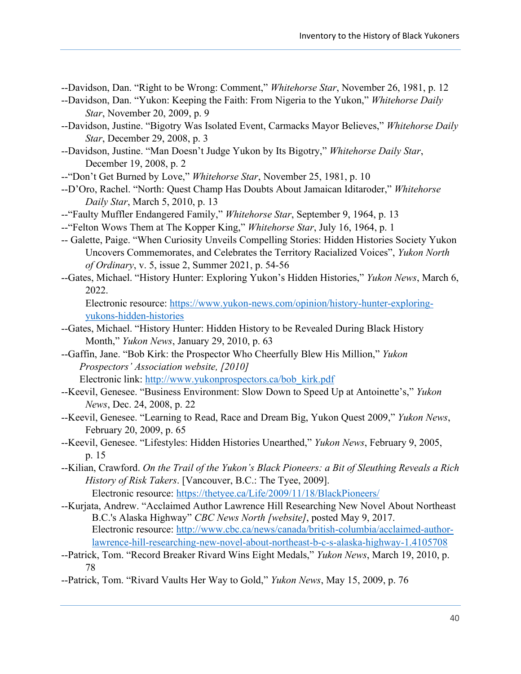--Davidson, Dan. "Right to be Wrong: Comment," *Whitehorse Star*, November 26, 1981, p. 12

- --Davidson, Dan. "Yukon: Keeping the Faith: From Nigeria to the Yukon," *Whitehorse Daily Star*, November 20, 2009, p. 9
- --Davidson, Justine. "Bigotry Was Isolated Event, Carmacks Mayor Believes," *Whitehorse Daily Star*, December 29, 2008, p. 3
- --Davidson, Justine. "Man Doesn't Judge Yukon by Its Bigotry," *Whitehorse Daily Star*, December 19, 2008, p. 2
- --"Don't Get Burned by Love," *Whitehorse Star*, November 25, 1981, p. 10
- --D'Oro, Rachel. "North: Quest Champ Has Doubts About Jamaican Iditaroder," *Whitehorse Daily Star*, March 5, 2010, p. 13
- --"Faulty Muffler Endangered Family," *Whitehorse Star*, September 9, 1964, p. 13
- --"Felton Wows Them at The Kopper King," *Whitehorse Star*, July 16, 1964, p. 1
- -- Galette, Paige. "When Curiosity Unveils Compelling Stories: Hidden Histories Society Yukon Uncovers Commemorates, and Celebrates the Territory Racialized Voices", *Yukon North of Ordinary*, v. 5, issue 2, Summer 2021, p. 54-56
- --Gates, Michael. "History Hunter: Exploring Yukon's Hidden Histories," *Yukon News*, March 6, 2022.

Electronic resource: [https://www.yukon-news.com/opinion/history-hunter-exploring](https://www.yukon-news.com/opinion/history-hunter-exploring-yukons-hidden-histories)[yukons-hidden-histories](https://www.yukon-news.com/opinion/history-hunter-exploring-yukons-hidden-histories)

- --Gates, Michael. "History Hunter: Hidden History to be Revealed During Black History Month," *Yukon News*, January 29, 2010, p. 63
- --Gaffin, Jane. "Bob Kirk: the Prospector Who Cheerfully Blew His Million," *Yukon Prospectors' Association website, [2010]* Electronic link: [http://www.yukonprospectors.ca/bob\\_kirk.pdf](http://www.yukonprospectors.ca/bob_kirk.pdf)
- --Keevil, Genesee. "Business Environment: Slow Down to Speed Up at Antoinette's," *Yukon News*, Dec. 24, 2008, p. 22
- --Keevil, Genesee. "Learning to Read, Race and Dream Big, Yukon Quest 2009," *Yukon News*, February 20, 2009, p. 65
- --Keevil, Genesee. "Lifestyles: Hidden Histories Unearthed," *Yukon News*, February 9, 2005, p. 15
- --Kilian, Crawford. *On the Trail of the Yukon's Black Pioneers: a Bit of Sleuthing Reveals a Rich History of Risk Takers*. [Vancouver, B.C.: The Tyee, 2009]. Electronic resource:<https://thetyee.ca/Life/2009/11/18/BlackPioneers/>
- --Kurjata, Andrew. "Acclaimed Author Lawrence Hill Researching New Novel About Northeast B.C.'s Alaska Highway" *CBC News North [website]*, posted May 9, 2017. Electronic resource: [http://www.cbc.ca/news/canada/british-columbia/acclaimed-author](http://www.cbc.ca/news/canada/british-columbia/acclaimed-author-lawrence-hill-researching-new-novel-about-northeast-b-c-s-alaska-highway-1.4105708)[lawrence-hill-researching-new-novel-about-northeast-b-c-s-alaska-highway-1.4105708](http://www.cbc.ca/news/canada/british-columbia/acclaimed-author-lawrence-hill-researching-new-novel-about-northeast-b-c-s-alaska-highway-1.4105708)
- --Patrick, Tom. "Record Breaker Rivard Wins Eight Medals," *Yukon News*, March 19, 2010, p. 78
- --Patrick, Tom. "Rivard Vaults Her Way to Gold," *Yukon News*, May 15, 2009, p. 76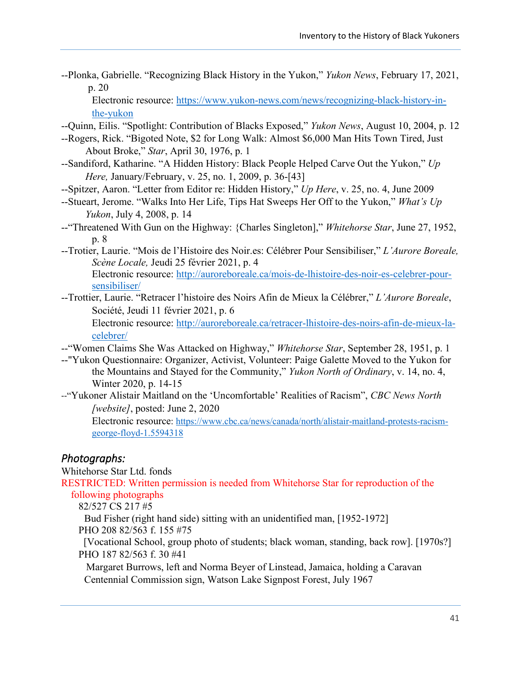--Plonka, Gabrielle. "Recognizing Black History in the Yukon," *Yukon News*, February 17, 2021, p. 20

Electronic resource: [https://www.yukon-news.com/news/recognizing-black-history-in](https://www.yukon-news.com/news/recognizing-black-history-in-the-yukon)[the-yukon](https://www.yukon-news.com/news/recognizing-black-history-in-the-yukon)

- --Quinn, Eilis. "Spotlight: Contribution of Blacks Exposed," *Yukon News*, August 10, 2004, p. 12
- --Rogers, Rick. "Bigoted Note, \$2 for Long Walk: Almost \$6,000 Man Hits Town Tired, Just About Broke," *Star*, April 30, 1976, p. 1
- --Sandiford, Katharine. "A Hidden History: Black People Helped Carve Out the Yukon," *Up Here,* January/February, v. 25, no. 1, 2009, p. 36-[43]
- --Spitzer, Aaron. "Letter from Editor re: Hidden History," *Up Here*, v. 25, no. 4, June 2009
- --Stueart, Jerome. "Walks Into Her Life, Tips Hat Sweeps Her Off to the Yukon," *What's Up Yukon*, July 4, 2008, p. 14
- --"Threatened With Gun on the Highway: {Charles Singleton]," *Whitehorse Star*, June 27, 1952, p. 8
- --Trotier, Laurie. "Mois de l'Histoire des Noir.es: Célébrer Pour Sensibiliser," *L'Aurore Boreale, Scène Locale,* Jeudi 25 février 2021, p. 4 Electronic resource: [http://auroreboreale.ca/mois-de-lhistoire-des-noir-es-celebrer-pour](http://auroreboreale.ca/mois-de-lhistoire-des-noir-es-celebrer-pour-sensibiliser/)[sensibiliser/](http://auroreboreale.ca/mois-de-lhistoire-des-noir-es-celebrer-pour-sensibiliser/)
- --Trottier, Laurie. "Retracer l'histoire des Noirs Afin de Mieux la Célébrer," *L'Aurore Boreale*, Société, Jeudi 11 février 2021, p. 6

Electronic resource: [http://auroreboreale.ca/retracer-lhistoire-des-noirs-afin-de-mieux-la](http://auroreboreale.ca/retracer-lhistoire-des-noirs-afin-de-mieux-la-celebrer/)[celebrer/](http://auroreboreale.ca/retracer-lhistoire-des-noirs-afin-de-mieux-la-celebrer/)

- --"Women Claims She Was Attacked on Highway," *Whitehorse Star*, September 28, 1951, p. 1
- --"Yukon Questionnaire: Organizer, Activist, Volunteer: Paige Galette Moved to the Yukon for the Mountains and Stayed for the Community," *Yukon North of Ordinary*, v. 14, no. 4, Winter 2020, p. 14-15
- --"Yukoner Alistair Maitland on the 'Uncomfortable' Realities of Racism", *CBC News North [website]*, posted: June 2, 2020

Electronic resource: [https://www.cbc.ca/news/canada/north/alistair-maitland-protests-racism](https://www.cbc.ca/news/canada/north/alistair-maitland-protests-racism-george-floyd-1.5594318)[george-floyd-1.5594318](https://www.cbc.ca/news/canada/north/alistair-maitland-protests-racism-george-floyd-1.5594318)

### <span id="page-47-0"></span>*Photographs:*

Whitehorse Star Ltd. fonds

RESTRICTED: Written permission is needed from Whitehorse Star for reproduction of the following photographs

82/527 CS 217 #5

 Bud Fisher (right hand side) sitting with an unidentified man, [1952-1972] PHO 208 82/563 f. 155 #75

 [Vocational School, group photo of students; black woman, standing, back row]. [1970s?] PHO 187 82/563 f. 30 #41

 Margaret Burrows, left and Norma Beyer of Linstead, Jamaica, holding a Caravan Centennial Commission sign, Watson Lake Signpost Forest, July 1967